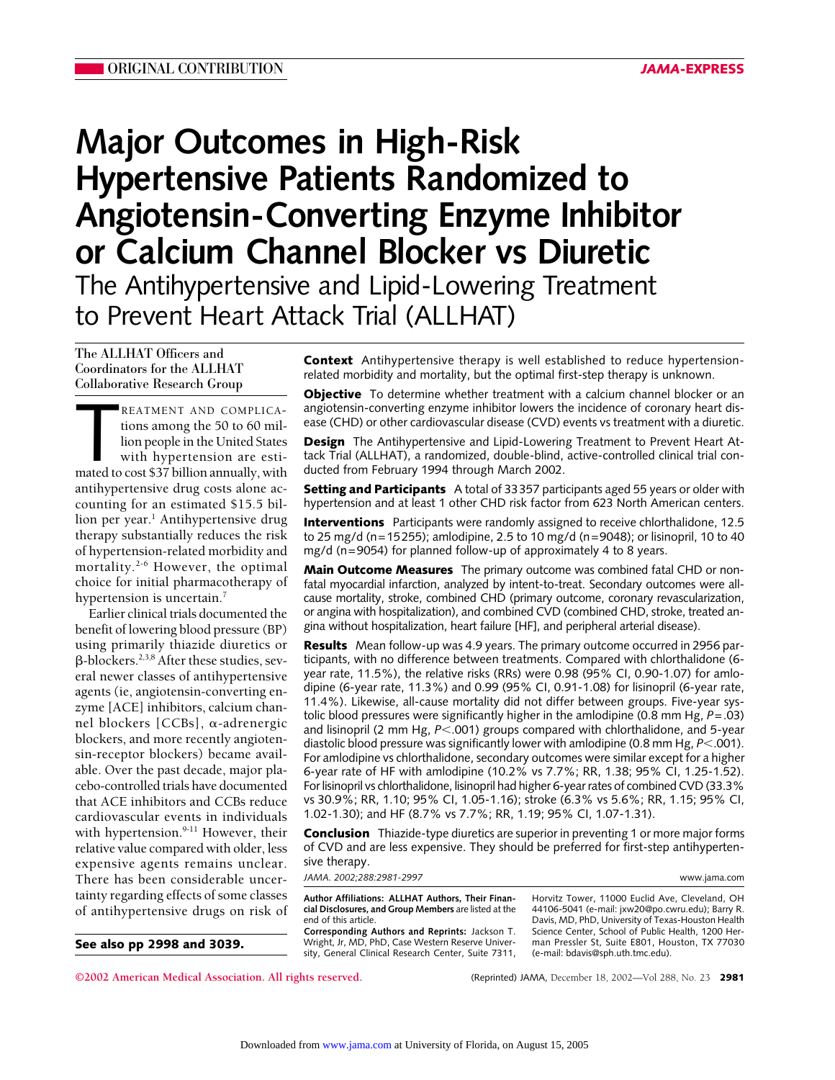# **Major Outcomes in High-Risk Hypertensive Patients Randomized to Angiotensin-Converting Enzyme Inhibitor or Calcium Channel Blocker vs Diuretic** The Antihypertensive and Lipid-Lowering Treatment to Prevent Heart Attack Trial (ALLHAT)

The ALLHAT Officers and Coordinators for the ALLHAT Collaborative Research Group

REATMENT AND COMPLICAtions among the 50 to 60 million people in the United States<br>with hypertension are estimated to cost \$37 billion annually, with REATMENT AND COMPLICAtions among the 50 to 60 million people in the United States with hypertension are estiantihypertensive drug costs alone accounting for an estimated \$15.5 billion per year.<sup>1</sup> Antihypertensive drug therapy substantially reduces the risk of hypertension-related morbidity and mortality.<sup>2-6</sup> However, the optimal choice for initial pharmacotherapy of hypertension is uncertain.<sup>7</sup>

Earlier clinical trials documented the benefit of lowering blood pressure (BP) using primarily thiazide diuretics or  $\beta$ -blockers.<sup>2,3,8</sup> After these studies, several newer classes of antihypertensive agents (ie, angiotensin-converting enzyme [ACE] inhibitors, calcium channel blockers [CCBs], α-adrenergic blockers, and more recently angiotensin-receptor blockers) became available. Over the past decade, major placebo-controlled trials have documented that ACE inhibitors and CCBs reduce cardiovascular events in individuals with hypertension.<sup>9-11</sup> However, their relative value compared with older, less expensive agents remains unclear. There has been considerable uncertainty regarding effects of some classes of antihypertensive drugs on risk of

**See also pp 2998 and 3039.**

**Context** Antihypertensive therapy is well established to reduce hypertensionrelated morbidity and mortality, but the optimal first-step therapy is unknown.

**Objective** To determine whether treatment with a calcium channel blocker or an angiotensin-converting enzyme inhibitor lowers the incidence of coronary heart disease (CHD) or other cardiovascular disease (CVD) events vs treatment with a diuretic.

**Design** The Antihypertensive and Lipid-Lowering Treatment to Prevent Heart Attack Trial (ALLHAT), a randomized, double-blind, active-controlled clinical trial conducted from February 1994 through March 2002.

**Setting and Participants** A total of 33357 participants aged 55 years or older with hypertension and at least 1 other CHD risk factor from 623 North American centers.

**Interventions** Participants were randomly assigned to receive chlorthalidone, 12.5 to 25 mg/d (n=15255); amlodipine, 2.5 to 10 mg/d (n=9048); or lisinopril, 10 to 40 mg/d (n=9054) for planned follow-up of approximately 4 to 8 years.

**Main Outcome Measures** The primary outcome was combined fatal CHD or nonfatal myocardial infarction, analyzed by intent-to-treat. Secondary outcomes were allcause mortality, stroke, combined CHD (primary outcome, coronary revascularization, or angina with hospitalization), and combined CVD (combined CHD, stroke, treated angina without hospitalization, heart failure [HF], and peripheral arterial disease).

**Results** Mean follow-up was 4.9 years. The primary outcome occurred in 2956 participants, with no difference between treatments. Compared with chlorthalidone (6 year rate, 11.5%), the relative risks (RRs) were 0.98 (95% CI, 0.90-1.07) for amlodipine (6-year rate, 11.3%) and 0.99 (95% CI, 0.91-1.08) for lisinopril (6-year rate, 11.4%). Likewise, all-cause mortality did not differ between groups. Five-year systolic blood pressures were significantly higher in the amlodipine (0.8 mm Hg, *P*=.03) and lisinopril (2 mm Hg, *P*<.001) groups compared with chlorthalidone, and 5-year diastolic blood pressure was significantly lower with amlodipine (0.8 mm Hg,  $P < 001$ ). For amlodipine vs chlorthalidone, secondary outcomes were similar except for a higher 6-year rate of HF with amlodipine (10.2% vs 7.7%; RR, 1.38; 95% CI, 1.25-1.52). For lisinopril vs chlorthalidone, lisinopril had higher 6-year rates of combined CVD (33.3% vs 30.9%; RR, 1.10; 95% CI, 1.05-1.16); stroke (6.3% vs 5.6%; RR, 1.15; 95% CI, 1.02-1.30); and HF (8.7% vs 7.7%; RR, 1.19; 95% CI, 1.07-1.31).

**Conclusion** Thiazide-type diuretics are superior in preventing 1 or more major forms of CVD and are less expensive. They should be preferred for first-step antihypertensive therapy.

*JAMA. 2002;288:2981-2997* www.jama.com

**Author Affiliations: ALLHAT Authors, Their Financial Disclosures, and Group Members** are listed at the end of this article. **Corresponding Authors and Reprints:** Jackson T. Wright, Jr, MD, PhD, Case Western Reserve University, General Clinical Research Center, Suite 7311,

Horvitz Tower, 11000 Euclid Ave, Cleveland, OH 44106-5041 (e-mail: jxw20@po.cwru.edu); Barry R. Davis, MD, PhD, University of Texas-Houston Health Science Center, School of Public Health, 1200 Herman Pressler St, Suite E801, Houston, TX 77030 (e-mail: bdavis@sph.uth.tmc.edu).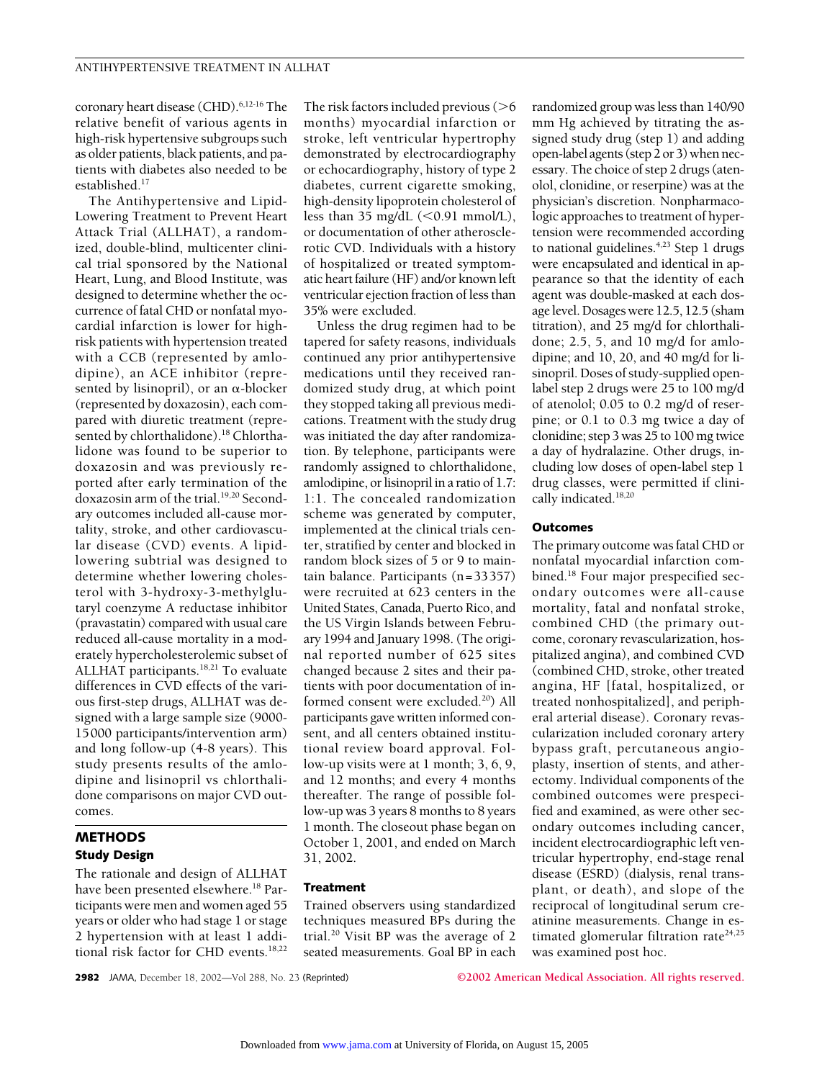coronary heart disease (CHD).<sup>6,12-16</sup> The relative benefit of various agents in high-risk hypertensive subgroups such as older patients, black patients, and patients with diabetes also needed to be established.<sup>17</sup>

The Antihypertensive and Lipid-Lowering Treatment to Prevent Heart Attack Trial (ALLHAT), a randomized, double-blind, multicenter clinical trial sponsored by the National Heart, Lung, and Blood Institute, was designed to determine whether the occurrence of fatal CHD or nonfatal myocardial infarction is lower for highrisk patients with hypertension treated with a CCB (represented by amlodipine), an ACE inhibitor (represented by lisinopril), or an  $\alpha$ -blocker (represented by doxazosin), each compared with diuretic treatment (represented by chlorthalidone).<sup>18</sup> Chlorthalidone was found to be superior to doxazosin and was previously reported after early termination of the doxazosin arm of the trial.19,20 Secondary outcomes included all-cause mortality, stroke, and other cardiovascular disease (CVD) events. A lipidlowering subtrial was designed to determine whether lowering cholesterol with 3-hydroxy-3-methylglutaryl coenzyme A reductase inhibitor (pravastatin) compared with usual care reduced all-cause mortality in a moderately hypercholesterolemic subset of ALLHAT participants.<sup>18,21</sup> To evaluate differences in CVD effects of the various first-step drugs, ALLHAT was designed with a large sample size (9000- 15000 participants/intervention arm) and long follow-up (4-8 years). This study presents results of the amlodipine and lisinopril vs chlorthalidone comparisons on major CVD outcomes.

# **METHODS Study Design**

The rationale and design of ALLHAT have been presented elsewhere.<sup>18</sup> Participants were men and women aged 55 years or older who had stage 1 or stage 2 hypertension with at least 1 additional risk factor for CHD events.<sup>18,22</sup> The risk factors included previous  $(>6$ months) myocardial infarction or stroke, left ventricular hypertrophy demonstrated by electrocardiography or echocardiography, history of type 2 diabetes, current cigarette smoking, high-density lipoprotein cholesterol of less than 35 mg/dL  $(<0.91$  mmol/L), or documentation of other atherosclerotic CVD. Individuals with a history of hospitalized or treated symptomatic heart failure (HF) and/or known left ventricular ejection fraction of less than 35% were excluded.

Unless the drug regimen had to be tapered for safety reasons, individuals continued any prior antihypertensive medications until they received randomized study drug, at which point they stopped taking all previous medications. Treatment with the study drug was initiated the day after randomization. By telephone, participants were randomly assigned to chlorthalidone, amlodipine, or lisinopril in a ratio of 1.7: 1:1. The concealed randomization scheme was generated by computer, implemented at the clinical trials center, stratified by center and blocked in random block sizes of 5 or 9 to maintain balance. Participants (n=33357) were recruited at 623 centers in the United States, Canada, Puerto Rico, and the US Virgin Islands between February 1994 and January 1998. (The original reported number of 625 sites changed because 2 sites and their patients with poor documentation of informed consent were excluded.<sup>20</sup>) All participants gave written informed consent, and all centers obtained institutional review board approval. Follow-up visits were at 1 month; 3, 6, 9, and 12 months; and every 4 months thereafter. The range of possible follow-up was 3 years 8 months to 8 years 1 month. The closeout phase began on October 1, 2001, and ended on March 31, 2002.

#### **Treatment**

Trained observers using standardized techniques measured BPs during the trial.<sup>20</sup> Visit BP was the average of  $2$ seated measurements. Goal BP in each randomized group was less than 140/90 mm Hg achieved by titrating the assigned study drug (step 1) and adding open-label agents (step 2 or 3) when necessary. The choice of step 2 drugs (atenolol, clonidine, or reserpine) was at the physician's discretion. Nonpharmacologic approaches to treatment of hypertension were recommended according to national guidelines.<sup>4,23</sup> Step 1 drugs were encapsulated and identical in appearance so that the identity of each agent was double-masked at each dosage level. Dosages were 12.5, 12.5 (sham titration), and 25 mg/d for chlorthalidone; 2.5, 5, and 10 mg/d for amlodipine; and 10, 20, and 40 mg/d for lisinopril. Doses of study-supplied openlabel step 2 drugs were 25 to 100 mg/d of atenolol; 0.05 to 0.2 mg/d of reserpine; or 0.1 to 0.3 mg twice a day of clonidine; step 3 was 25 to 100 mg twice a day of hydralazine. Other drugs, including low doses of open-label step 1 drug classes, were permitted if clinically indicated.18,20

#### **Outcomes**

The primary outcome was fatal CHD or nonfatal myocardial infarction combined.18 Four major prespecified secondary outcomes were all-cause mortality, fatal and nonfatal stroke, combined CHD (the primary outcome, coronary revascularization, hospitalized angina), and combined CVD (combined CHD, stroke, other treated angina, HF [fatal, hospitalized, or treated nonhospitalized], and peripheral arterial disease). Coronary revascularization included coronary artery bypass graft, percutaneous angioplasty, insertion of stents, and atherectomy. Individual components of the combined outcomes were prespecified and examined, as were other secondary outcomes including cancer, incident electrocardiographic left ventricular hypertrophy, end-stage renal disease (ESRD) (dialysis, renal transplant, or death), and slope of the reciprocal of longitudinal serum creatinine measurements. Change in estimated glomerular filtration rate $24,25$ was examined post hoc.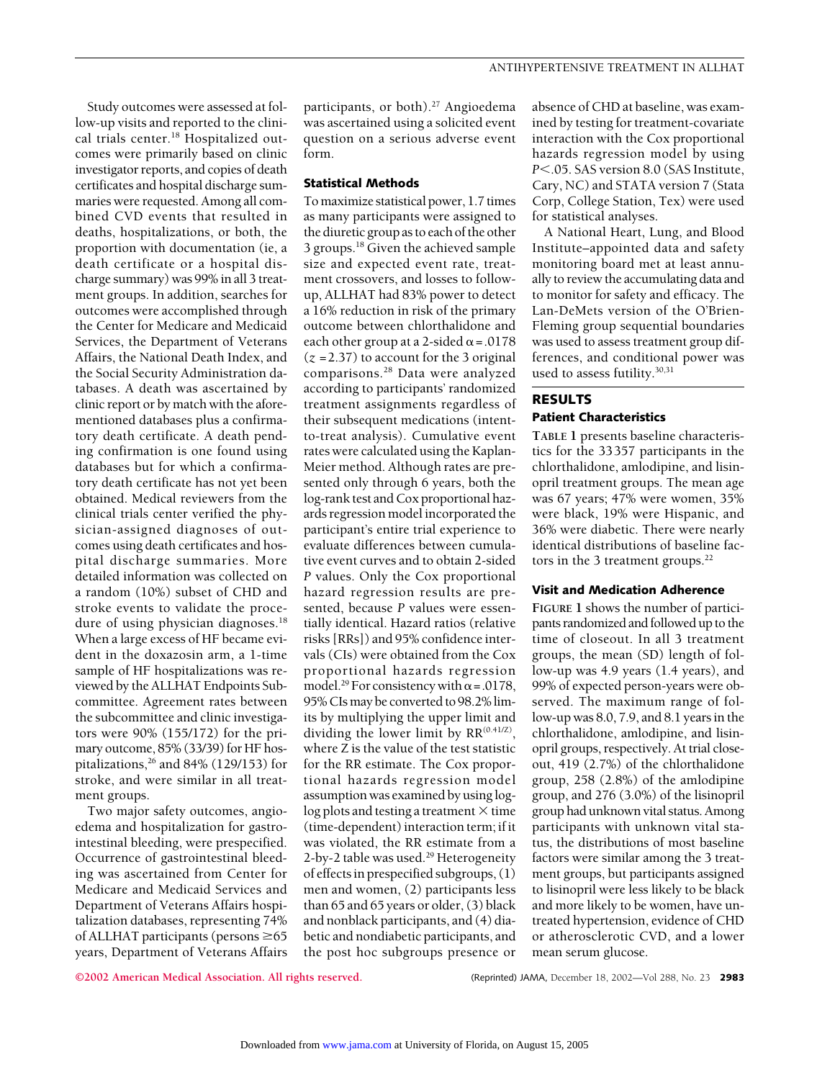Study outcomes were assessed at follow-up visits and reported to the clinical trials center.<sup>18</sup> Hospitalized outcomes were primarily based on clinic investigator reports, and copies of death certificates and hospital discharge summaries were requested. Among all combined CVD events that resulted in deaths, hospitalizations, or both, the proportion with documentation (ie, a death certificate or a hospital discharge summary) was 99% in all 3 treatment groups. In addition, searches for outcomes were accomplished through the Center for Medicare and Medicaid Services, the Department of Veterans Affairs, the National Death Index, and the Social Security Administration databases. A death was ascertained by clinic report or by match with the aforementioned databases plus a confirmatory death certificate. A death pending confirmation is one found using databases but for which a confirmatory death certificate has not yet been obtained. Medical reviewers from the clinical trials center verified the physician-assigned diagnoses of outcomes using death certificates and hospital discharge summaries. More detailed information was collected on a random (10%) subset of CHD and stroke events to validate the procedure of using physician diagnoses.<sup>18</sup> When a large excess of HF became evident in the doxazosin arm, a 1-time sample of HF hospitalizations was reviewed by the ALLHAT Endpoints Subcommittee. Agreement rates between the subcommittee and clinic investigators were 90% (155/172) for the primary outcome, 85% (33/39) for HF hospitalizations,<sup>26</sup> and 84% (129/153) for stroke, and were similar in all treatment groups.

Two major safety outcomes, angioedema and hospitalization for gastrointestinal bleeding, were prespecified. Occurrence of gastrointestinal bleeding was ascertained from Center for Medicare and Medicaid Services and Department of Veterans Affairs hospitalization databases, representing 74% of ALLHAT participants (persons  $\geq 65$ years, Department of Veterans Affairs participants, or both).<sup>27</sup> Angioedema was ascertained using a solicited event question on a serious adverse event form.

#### **Statistical Methods**

To maximize statistical power, 1.7 times as many participants were assigned to the diuretic group as to each of the other 3 groups.18 Given the achieved sample size and expected event rate, treatment crossovers, and losses to followup, ALLHAT had 83% power to detect a 16% reduction in risk of the primary outcome between chlorthalidone and each other group at a 2-sided  $\alpha = .0178$ (*z* =2.37) to account for the 3 original comparisons.28 Data were analyzed according to participants' randomized treatment assignments regardless of their subsequent medications (intentto-treat analysis). Cumulative event rates were calculated using the Kaplan-Meier method. Although rates are presented only through 6 years, both the log-rank test and Cox proportional hazards regression model incorporated the participant's entire trial experience to evaluate differences between cumulative event curves and to obtain 2-sided *P* values. Only the Cox proportional hazard regression results are presented, because *P* values were essentially identical. Hazard ratios (relative risks [RRs]) and 95% confidence intervals (CIs) were obtained from the Cox proportional hazards regression model.<sup>29</sup> For consistency with  $\alpha$  = .0178, 95% CIs may be converted to 98.2% limits by multiplying the upper limit and dividing the lower limit by  $RR^{(0.41/Z)}$ , where Z is the value of the test statistic for the RR estimate. The Cox proportional hazards regression model assumption was examined by using loglog plots and testing a treatment  $\times$  time (time-dependent) interaction term; if it was violated, the RR estimate from a 2-by-2 table was used.<sup>29</sup> Heterogeneity of effects in prespecified subgroups, (1) men and women, (2) participants less than 65 and 65 years or older, (3) black and nonblack participants, and (4) diabetic and nondiabetic participants, and the post hoc subgroups presence or

absence of CHD at baseline, was examined by testing for treatment-covariate interaction with the Cox proportional hazards regression model by using *P*.05. SAS version 8.0 (SAS Institute, Cary, NC) and STATA version 7 (Stata Corp, College Station, Tex) were used for statistical analyses.

A National Heart, Lung, and Blood Institute–appointed data and safety monitoring board met at least annually to review the accumulating data and to monitor for safety and efficacy. The Lan-DeMets version of the O'Brien-Fleming group sequential boundaries was used to assess treatment group differences, and conditional power was used to assess futility.  $^{30,31}$ 

## **RESULTS Patient Characteristics**

**TABLE 1** presents baseline characteristics for the 33357 participants in the chlorthalidone, amlodipine, and lisinopril treatment groups. The mean age was 67 years; 47% were women, 35% were black, 19% were Hispanic, and 36% were diabetic. There were nearly identical distributions of baseline factors in the 3 treatment groups.<sup>22</sup>

#### **Visit and Medication Adherence**

**FIGURE 1** shows the number of participants randomized and followed up to the time of closeout. In all 3 treatment groups, the mean (SD) length of follow-up was 4.9 years (1.4 years), and 99% of expected person-years were observed. The maximum range of follow-up was 8.0, 7.9, and 8.1 years in the chlorthalidone, amlodipine, and lisinopril groups, respectively. At trial closeout, 419 (2.7%) of the chlorthalidone group, 258 (2.8%) of the amlodipine group, and 276 (3.0%) of the lisinopril group had unknown vital status. Among participants with unknown vital status, the distributions of most baseline factors were similar among the 3 treatment groups, but participants assigned to lisinopril were less likely to be black and more likely to be women, have untreated hypertension, evidence of CHD or atherosclerotic CVD, and a lower mean serum glucose.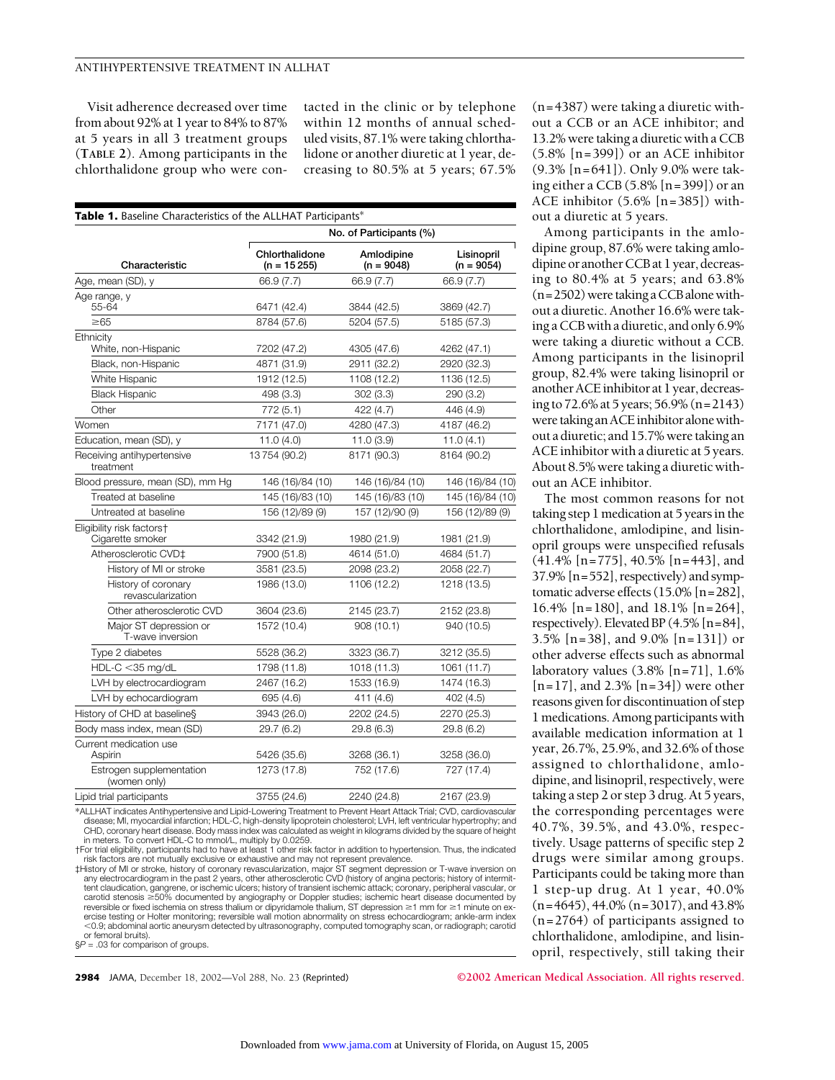Visit adherence decreased over time from about 92% at 1 year to 84% to 87% at 5 years in all 3 treatment groups (**TABLE 2**). Among participants in the chlorthalidone group who were contacted in the clinic or by telephone within 12 months of annual scheduled visits, 87.1% were taking chlorthalidone or another diuretic at 1 year, decreasing to 80.5% at 5 years; 67.5%

| Table 1. Baseline Characteristics of the ALLHAT Participants* |                                 |                            |                            |  |  |  |  |
|---------------------------------------------------------------|---------------------------------|----------------------------|----------------------------|--|--|--|--|
|                                                               | No. of Participants (%)         |                            |                            |  |  |  |  |
| Characteristic                                                | Chlorthalidone<br>$(n = 15255)$ | Amlodipine<br>$(n = 9048)$ | Lisinopril<br>$(n = 9054)$ |  |  |  |  |
| Age, mean (SD), y                                             | 66.9 (7.7)                      | 66.9 (7.7)                 | 66.9 (7.7)                 |  |  |  |  |
| Age range, y<br>55-64                                         | 6471 (42.4)                     | 3844 (42.5)                | 3869 (42.7)                |  |  |  |  |
| $\geq 65$                                                     | 8784 (57.6)                     | 5204 (57.5)                | 5185 (57.3)                |  |  |  |  |
| Ethnicity<br>White, non-Hispanic                              | 7202 (47.2)                     | 4305 (47.6)                | 4262 (47.1)                |  |  |  |  |
| Black, non-Hispanic                                           | 4871 (31.9)                     | 2911 (32.2)                | 2920 (32.3)                |  |  |  |  |
| White Hispanic                                                | 1912 (12.5)                     | 1108 (12.2)                | 1136 (12.5)                |  |  |  |  |
| <b>Black Hispanic</b>                                         | 498 (3.3)                       | 302 (3.3)                  | 290 (3.2)                  |  |  |  |  |
| Other                                                         | 772(5.1)                        | 422 (4.7)                  | 446 (4.9)                  |  |  |  |  |
| Women                                                         | 7171 (47.0)                     | 4280 (47.3)                | 4187 (46.2)                |  |  |  |  |
| Education, mean (SD), y                                       | 11.0(4.0)                       | 11.0(3.9)                  | 11.0(4.1)                  |  |  |  |  |
| Receiving antihypertensive<br>treatment                       | 13754 (90.2)                    | 8171 (90.3)                | 8164 (90.2)                |  |  |  |  |
| Blood pressure, mean (SD), mm Hg                              | 146 (16)/84 (10)                | 146 (16)/84 (10)           | 146 (16)/84 (10)           |  |  |  |  |
| Treated at baseline                                           | 145 (16)/83 (10)                | 145 (16)/83 (10)           | 145 (16)/84 (10)           |  |  |  |  |
| Untreated at baseline                                         | 156 (12)/89 (9)                 | 157 (12)/90 (9)            | 156 (12)/89 (9)            |  |  |  |  |
| Eligibility risk factors+<br>Cigarette smoker                 | 3342 (21.9)                     | 1980 (21.9)                | 1981 (21.9)                |  |  |  |  |
| Atherosclerotic CVD‡                                          | 7900 (51.8)                     | 4614 (51.0)                | 4684 (51.7)                |  |  |  |  |
| History of MI or stroke                                       | 3581 (23.5)                     | 2098 (23.2)                | 2058 (22.7)                |  |  |  |  |
| History of coronary<br>revascularization                      | 1986 (13.0)                     | 1106 (12.2)                | 1218 (13.5)                |  |  |  |  |
| Other atherosclerotic CVD                                     | 3604 (23.6)                     | 2145 (23.7)                | 2152 (23.8)                |  |  |  |  |
| Major ST depression or<br>T-wave inversion                    | 1572 (10.4)                     | 908(10.1)                  | 940 (10.5)                 |  |  |  |  |
| Type 2 diabetes                                               | 5528 (36.2)                     | 3323 (36.7)                | 3212 (35.5)                |  |  |  |  |
| $HDL-C < 35$ mg/dL                                            | 1798 (11.8)                     | 1018 (11.3)                | 1061 (11.7)                |  |  |  |  |
| LVH by electrocardiogram                                      | 2467 (16.2)                     | 1533 (16.9)                | 1474 (16.3)                |  |  |  |  |
| LVH by echocardiogram                                         | 695 (4.6)                       | 411 (4.6)                  | 402 (4.5)                  |  |  |  |  |
| History of CHD at baseline§                                   | 3943 (26.0)                     | 2202 (24.5)                | 2270 (25.3)                |  |  |  |  |
| Body mass index, mean (SD)                                    | 29.7 (6.2)                      | 29.8 (6.3)                 | 29.8 (6.2)                 |  |  |  |  |
| Current medication use<br>Aspirin                             | 5426 (35.6)                     | 3268 (36.1)                | 3258 (36.0)                |  |  |  |  |
| Estrogen supplementation<br>(women only)                      | 1273 (17.8)                     | 752 (17.6)                 | 727 (17.4)                 |  |  |  |  |
| Lipid trial participants                                      | 3755 (24.6)                     | 2240 (24.8)                | 2167 (23.9)                |  |  |  |  |

ALLHAT indicates Antihypertensive and Lipid-Lowering Treatment to Prevent Heart Attack Trial; CVD, cardiovascular#<br>disease; MI, myocardial infarction; HDL-C, high-density lipoprotein cholesterol; LVH, left ventricular hype CHD, coronary heart disease. Body mass index was calculated as weight in kilograms divided by the square of height in meters. To convert HDL-C to mmol/L, multiply by 0.0259. †For trial eligibility, participants had to have at least 1 other risk factor in addition to hypertension. Thus, the indicated

risk factors are not mutually exclusive or exhaustive and may not represent prevalence.

‡History of MI or stroke, history of coronary revascularization, major ST segment depression or T-wave inversion on<br>- any electrocardiogram in the past 2 years, other atherosclerotic CVD (history of angina pectoris; histor tent claudication, gangrene, or ischemic ulcers; history of transient ischemic attack; coronary, peripheral vascular, or carotid stenosis 50% documented by angiography or Doppler studies; ischemic heart disease documented by reversible or fixed ischemia on stress thalium or dipyridamole thalium, ST depression ≥1 mm for ≥1 minute on exercise testing or Holter monitoring; reversible wall motion abnormality on stress echocardiogram; ankle-arm index 0.9; abdominal aortic aneurysm detected by ultrasonography, computed tomography scan, or radiograph; carotid or femoral bruits).

§*P* = .03 for comparison of groups.

**2984** JAMA, December 18, 2002—Vol 288, No. 23 (Reprinted) **©2002 American Medical Association. All rights reserved.**

(n=4387) were taking a diuretic without a CCB or an ACE inhibitor; and 13.2% were taking a diuretic with a CCB (5.8% [n=399]) or an ACE inhibitor (9.3% [n=641]). Only 9.0% were taking either a CCB (5.8% [n=399]) or an ACE inhibitor (5.6% [n=385]) without a diuretic at 5 years.

Among participants in the amlodipine group, 87.6% were taking amlodipine or another CCB at 1 year, decreasing to 80.4% at 5 years; and 63.8%  $(n=2502)$  were taking a CCB alone without a diuretic. Another 16.6% were taking a CCB with a diuretic, and only 6.9% were taking a diuretic without a CCB. Among participants in the lisinopril group, 82.4% were taking lisinopril or another ACE inhibitor at 1 year, decreasing to 72.6% at 5 years; 56.9% (n=2143) were taking an ACE inhibitor alone without a diuretic; and 15.7% were taking an ACE inhibitor with a diuretic at 5 years. About 8.5% were taking a diuretic without an ACE inhibitor.

The most common reasons for not taking step 1 medication at 5 years in the chlorthalidone, amlodipine, and lisinopril groups were unspecified refusals (41.4% [n=775], 40.5% [n=443], and 37.9% [n=552], respectively) and symptomatic adverse effects (15.0% [n=282], 16.4% [n=180], and 18.1% [n=264], respectively). Elevated BP (4.5% [n=84], 3.5% [n=38], and 9.0% [n=131]) or other adverse effects such as abnormal laboratory values (3.8% [n=71], 1.6% [n=17], and 2.3% [n=34]) were other reasons given for discontinuation of step 1 medications. Among participants with available medication information at 1 year, 26.7%, 25.9%, and 32.6% of those assigned to chlorthalidone, amlodipine, and lisinopril, respectively, were taking a step 2 or step 3 drug. At 5 years, the corresponding percentages were 40.7%, 39.5%, and 43.0%, respectively. Usage patterns of specific step 2 drugs were similar among groups. Participants could be taking more than 1 step-up drug. At 1 year, 40.0%  $(n=4645)$ , 44.0%  $(n=3017)$ , and 43.8% (n=2764) of participants assigned to chlorthalidone, amlodipine, and lisinopril, respectively, still taking their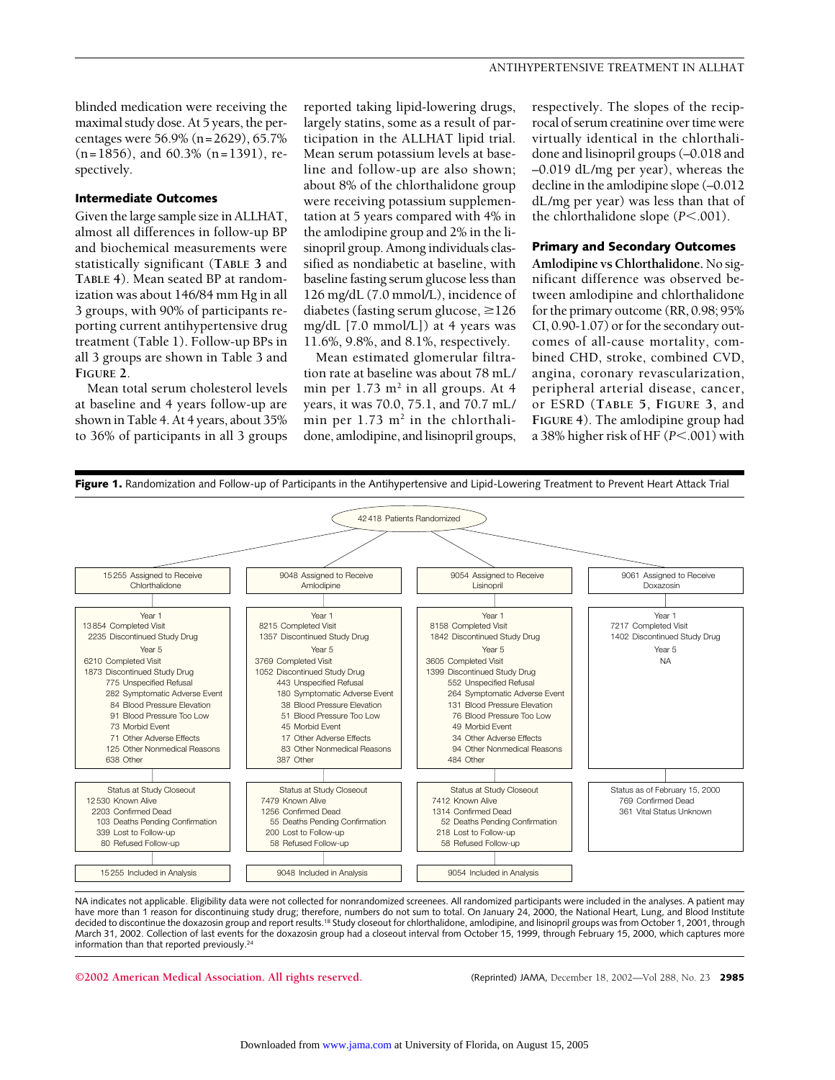blinded medication were receiving the maximal study dose. At 5 years, the percentages were 56.9% (n=2629), 65.7% (n=1856), and 60.3% (n=1391), respectively.

### **Intermediate Outcomes**

Given the large sample size in ALLHAT, almost all differences in follow-up BP and biochemical measurements were statistically significant (**TABLE 3** and **TABLE 4**). Mean seated BP at randomization was about 146/84 mm Hg in all 3 groups, with 90% of participants reporting current antihypertensive drug treatment (Table 1). Follow-up BPs in all 3 groups are shown in Table 3 and **FIGURE 2**.

Mean total serum cholesterol levels at baseline and 4 years follow-up are shown in Table 4. At 4 years, about 35% to 36% of participants in all 3 groups reported taking lipid-lowering drugs, largely statins, some as a result of participation in the ALLHAT lipid trial. Mean serum potassium levels at baseline and follow-up are also shown; about 8% of the chlorthalidone group were receiving potassium supplementation at 5 years compared with 4% in the amlodipine group and 2% in the lisinopril group. Among individuals classified as nondiabetic at baseline, with baseline fasting serum glucose less than 126 mg/dL (7.0 mmol/L), incidence of diabetes (fasting serum glucose,  $\geq$ 126 mg/dL [7.0 mmol/L]) at 4 years was 11.6%, 9.8%, and 8.1%, respectively.

Mean estimated glomerular filtration rate at baseline was about 78 mL/ min per  $1.73$  m<sup>2</sup> in all groups. At 4 years, it was 70.0, 75.1, and 70.7 mL/ min per  $1.73$  m<sup>2</sup> in the chlorthalidone, amlodipine, and lisinopril groups, respectively. The slopes of the reciprocal of serum creatinine over time were virtually identical in the chlorthalidone and lisinopril groups (–0.018 and –0.019 dL/mg per year), whereas the decline in the amlodipine slope (–0.012 dL/mg per year) was less than that of the chlorthalidone slope  $(P<.001)$ .

## **Primary and Secondary Outcomes**

**Amlodipine vs Chlorthalidone.** No significant difference was observed between amlodipine and chlorthalidone for the primary outcome (RR, 0.98; 95% CI, 0.90-1.07) or for the secondary outcomes of all-cause mortality, combined CHD, stroke, combined CVD, angina, coronary revascularization, peripheral arterial disease, cancer, or ESRD (**TABLE 5**, **FIGURE 3**, and **FIGURE 4**). The amlodipine group had a 38% higher risk of HF ( $P$ <.001) with



NA indicates not applicable. Eligibility data were not collected for nonrandomized screenees. All randomized participants were included in the analyses. A patient may have more than 1 reason for discontinuing study drug; therefore, numbers do not sum to total. On January 24, 2000, the National Heart, Lung, and Blood Institute decided to discontinue the doxazosin group and report results.<sup>18</sup> Study closeout for chlorthalidone, amlodipine, and lisinopril groups was from October 1, 2001, through March 31, 2002. Collection of last events for the doxazosin group had a closeout interval from October 15, 1999, through February 15, 2000, which captures more information than that reported previously.24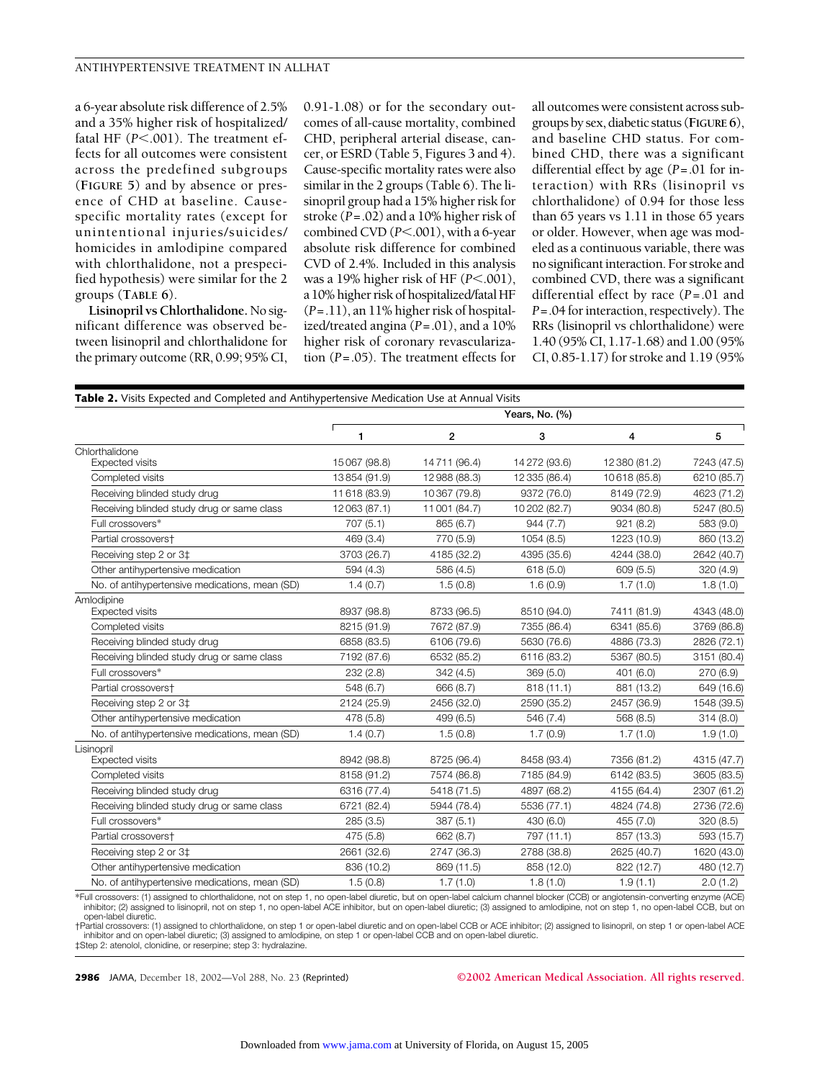a 6-year absolute risk difference of 2.5% and a 35% higher risk of hospitalized/ fatal HF  $(P<.001)$ . The treatment effects for all outcomes were consistent across the predefined subgroups (**FIGURE 5**) and by absence or presence of CHD at baseline. Causespecific mortality rates (except for unintentional injuries/suicides/ homicides in amlodipine compared with chlorthalidone, not a prespecified hypothesis) were similar for the 2 groups (**TABLE 6**).

**Lisinopril vs Chlorthalidone.** No significant difference was observed between lisinopril and chlorthalidone for the primary outcome (RR, 0.99; 95% CI, 0.91-1.08) or for the secondary outcomes of all-cause mortality, combined CHD, peripheral arterial disease, cancer, or ESRD (Table 5, Figures 3 and 4). Cause-specific mortality rates were also similar in the 2 groups (Table 6). The lisinopril group had a 15% higher risk for stroke (*P*=.02) and a 10% higher risk of combined CVD ( $P$ <.001), with a 6-year absolute risk difference for combined CVD of 2.4%. Included in this analysis was a 19% higher risk of HF ( $P$ <.001), a 10% higher risk of hospitalized/fatal HF (*P*=.11), an 11% higher risk of hospitalized/treated angina (*P*=.01), and a 10% higher risk of coronary revascularization (*P*=.05). The treatment effects for

all outcomes were consistent across subgroups by sex, diabetic status (**FIGURE 6**), and baseline CHD status. For combined CHD, there was a significant differential effect by age (*P*=.01 for interaction) with RRs (lisinopril vs chlorthalidone) of 0.94 for those less than 65 years vs 1.11 in those 65 years or older. However, when age was modeled as a continuous variable, there was no significant interaction. For stroke and combined CVD, there was a significant differential effect by race (*P*=.01 and *P*=.04 for interaction, respectively). The RRs (lisinopril vs chlorthalidone) were 1.40 (95% CI, 1.17-1.68) and 1.00 (95% CI, 0.85-1.17) for stroke and 1.19 (95%

| Table 2. Visits Expected and Completed and Antihypertensive Medication Use at Annual Visits |               |                | Years, No. (%) |               |             |
|---------------------------------------------------------------------------------------------|---------------|----------------|----------------|---------------|-------------|
|                                                                                             | 1             | $\overline{c}$ | 3              | 4             | 5           |
| Chlorthalidone                                                                              |               |                |                |               |             |
| <b>Expected visits</b>                                                                      | 15 067 (98.8) | 14 711 (96.4)  | 14 272 (93.6)  | 12 380 (81.2) | 7243 (47.5) |
| Completed visits                                                                            | 13 854 (91.9) | 12 988 (88.3)  | 12 335 (86.4)  | 10618 (85.8)  | 6210 (85.7) |
| Receiving blinded study drug                                                                | 11 618 (83.9) | 10 367 (79.8)  | 9372 (76.0)    | 8149 (72.9)   | 4623 (71.2) |
| Receiving blinded study drug or same class                                                  | 12 063 (87.1) | 11 001 (84.7)  | 10 202 (82.7)  | 9034 (80.8)   | 5247 (80.5) |
| Full crossovers*                                                                            | 707(5.1)      | 865 (6.7)      | 944(7.7)       | 921(8.2)      | 583 (9.0)   |
| Partial crossoverst                                                                         | 469 (3.4)     | 770 (5.9)      | 1054 (8.5)     | 1223 (10.9)   | 860 (13.2)  |
| Receiving step 2 or 3‡                                                                      | 3703 (26.7)   | 4185 (32.2)    | 4395 (35.6)    | 4244 (38.0)   | 2642 (40.7) |
| Other antihypertensive medication                                                           | 594 (4.3)     | 586 (4.5)      | 618 (5.0)      | 609 (5.5)     | 320(4.9)    |
| No. of antihypertensive medications, mean (SD)                                              | 1.4(0.7)      | 1.5(0.8)       | 1.6(0.9)       | 1.7(1.0)      | 1.8(1.0)    |
| Amlodipine<br><b>Expected visits</b>                                                        | 8937 (98.8)   | 8733 (96.5)    | 8510 (94.0)    | 7411 (81.9)   | 4343 (48.0) |
| Completed visits                                                                            | 8215 (91.9)   | 7672 (87.9)    | 7355 (86.4)    | 6341 (85.6)   | 3769 (86.8) |
| Receiving blinded study drug                                                                | 6858 (83.5)   | 6106 (79.6)    | 5630 (76.6)    | 4886 (73.3)   | 2826 (72.1) |
| Receiving blinded study drug or same class                                                  | 7192 (87.6)   | 6532 (85.2)    | 6116 (83.2)    | 5367 (80.5)   | 3151 (80.4) |
| Full crossovers*                                                                            | 232 (2.8)     | 342 (4.5)      | 369(5.0)       | 401 (6.0)     | 270 (6.9)   |
| Partial crossoverst                                                                         | 548 (6.7)     | 666 (8.7)      | 818 (11.1)     | 881 (13.2)    | 649 (16.6)  |
| Receiving step 2 or 3‡                                                                      | 2124 (25.9)   | 2456 (32.0)    | 2590 (35.2)    | 2457 (36.9)   | 1548 (39.5) |
| Other antihypertensive medication                                                           | 478 (5.8)     | 499 (6.5)      | 546 (7.4)      | 568 (8.5)     | 314(8.0)    |
| No. of antihypertensive medications, mean (SD)                                              | 1.4(0.7)      | 1.5(0.8)       | 1.7(0.9)       | 1.7(1.0)      | 1.9(1.0)    |
| Lisinopril<br><b>Expected visits</b>                                                        | 8942 (98.8)   | 8725 (96.4)    | 8458 (93.4)    | 7356 (81.2)   | 4315 (47.7) |
| Completed visits                                                                            | 8158 (91.2)   | 7574 (86.8)    | 7185 (84.9)    | 6142 (83.5)   | 3605 (83.5) |
| Receiving blinded study drug                                                                | 6316 (77.4)   | 5418 (71.5)    | 4897 (68.2)    | 4155 (64.4)   | 2307 (61.2) |
| Receiving blinded study drug or same class                                                  | 6721 (82.4)   | 5944 (78.4)    | 5536 (77.1)    | 4824 (74.8)   | 2736 (72.6) |
| Full crossovers*                                                                            | 285 (3.5)     | 387(5.1)       | 430 (6.0)      | 455 (7.0)     | 320(8.5)    |
| Partial crossoverst                                                                         | 475 (5.8)     | 662 (8.7)      | 797 (11.1)     | 857 (13.3)    | 593 (15.7)  |
| Receiving step 2 or 3‡                                                                      | 2661 (32.6)   | 2747 (36.3)    | 2788 (38.8)    | 2625 (40.7)   | 1620 (43.0) |
| Other antihypertensive medication                                                           | 836 (10.2)    | 869 (11.5)     | 858 (12.0)     | 822 (12.7)    | 480 (12.7)  |
| No. of antihypertensive medications, mean (SD)                                              | 1.5(0.8)      | 1.7(1.0)       | 1.8(1.0)       | 1.9(1.1)      | 2.0(1.2)    |

\*Full crossovers: (1) assigned to chlorthalidone, not on step 1, no open-label diuretic, but on open-label calcium channel blocker (CCB) or angiotensin-converting enzyme (ACE) inhibitor; (2) assigned to lisinopril, not on step 1, no open-label ACE inhibitor, but on open-label diuretic; (3) assigned to amlodipine, not on step 1, no open-label CCB, but on open-label diuretic.

†Partial crossovers: (1) assigned to chlorthalidone, on step 1 or open-label diuretic and on open-label CCB or ACE inhibitor; (2) assigned to lisinopril, on step 1 or open-label ACE inhibitor and on open-label diuretic; (3) assigned to amlodipine, on step 1 or open-label CCB and on open-label diuretic. ‡Step 2: atenolol, clonidine, or reserpine; step 3: hydralazine.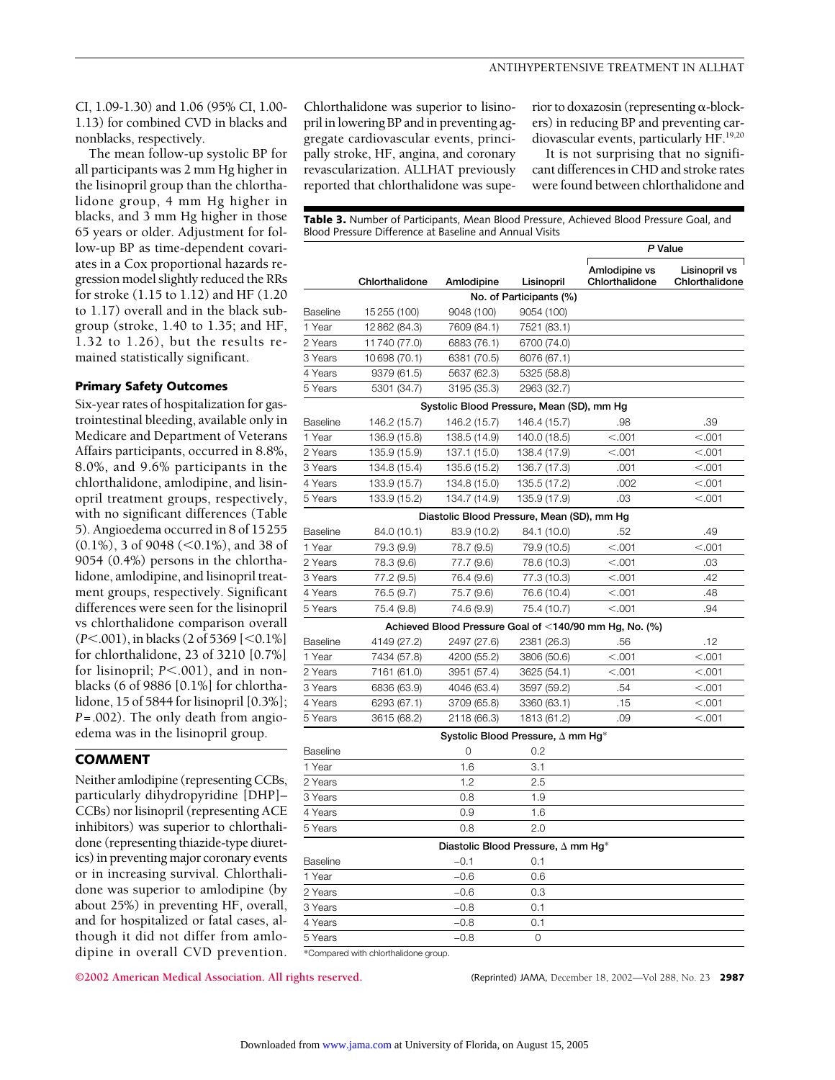CI, 1.09-1.30) and 1.06 (95% CI, 1.00- 1.13) for combined CVD in blacks and nonblacks, respectively.

The mean follow-up systolic BP for all participants was 2 mm Hg higher in the lisinopril group than the chlorthalidone group, 4 mm Hg higher in blacks, and 3 mm Hg higher in those 65 years or older. Adjustment for follow-up BP as time-dependent covariates in a Cox proportional hazards regression model slightly reduced the RRs for stroke (1.15 to 1.12) and HF (1.20 to 1.17) overall and in the black subgroup (stroke, 1.40 to 1.35; and HF, 1.32 to 1.26), but the results remained statistically significant.

#### **Primary Safety Outcomes**

Six-year rates of hospitalization for gastrointestinal bleeding, available only in Medicare and Department of Veterans Affairs participants, occurred in 8.8%, 8.0%, and 9.6% participants in the chlorthalidone, amlodipine, and lisinopril treatment groups, respectively, with no significant differences (Table 5). Angioedema occurred in 8 of 15255  $(0.1\%)$ , 3 of 9048 (<0.1%), and 38 of 9054 (0.4%) persons in the chlorthalidone, amlodipine, and lisinopril treatment groups, respectively. Significant differences were seen for the lisinopril vs chlorthalidone comparison overall  $(P<.001)$ , in blacks (2 of 5369 [<0.1%] for chlorthalidone, 23 of 3210 [0.7%] for lisinopril;  $P \le 0.001$ ), and in nonblacks (6 of 9886 [0.1%] for chlorthalidone, 15 of 5844 for lisinopril [0.3%]; *P*=.002). The only death from angioedema was in the lisinopril group.

## **COMMENT**

Neither amlodipine (representing CCBs, particularly dihydropyridine [DHP]– CCBs) nor lisinopril (representing ACE inhibitors) was superior to chlorthalidone (representing thiazide-type diuretics) in preventing major coronary events or in increasing survival. Chlorthalidone was superior to amlodipine (by about 25%) in preventing HF, overall, and for hospitalized or fatal cases, although it did not differ from amlodipine in overall CVD prevention. Chlorthalidone was superior to lisinopril in lowering BP and in preventing aggregate cardiovascular events, principally stroke, HF, angina, and coronary revascularization. ALLHAT previously reported that chlorthalidone was supe-

rior to doxazosin (representing a-blockers) in reducing BP and preventing cardiovascular events, particularly HF.19,20

It is not surprising that no significant differences in CHD and stroke rates were found between chlorthalidone and

| Table 3. Number of Participants, Mean Blood Pressure, Achieved Blood Pressure Goal, and |  |
|-----------------------------------------------------------------------------------------|--|
| Blood Pressure Difference at Baseline and Annual Visits                                 |  |

|          |                |              |                                            | P Value                                                |                                 |  |  |
|----------|----------------|--------------|--------------------------------------------|--------------------------------------------------------|---------------------------------|--|--|
|          | Chlorthalidone | Amlodipine   | Lisinopril                                 | Amlodipine vs<br>Chlorthalidone                        | Lisinopril vs<br>Chlorthalidone |  |  |
|          |                |              | No. of Participants (%)                    |                                                        |                                 |  |  |
| Baseline | 15 255 (100)   | 9048 (100)   | 9054 (100)                                 |                                                        |                                 |  |  |
| 1 Year   | 12 862 (84.3)  | 7609 (84.1)  | 7521 (83.1)                                |                                                        |                                 |  |  |
| 2 Years  | 11 740 (77.0)  | 6883 (76.1)  | 6700 (74.0)                                |                                                        |                                 |  |  |
| 3 Years  | 10 698 (70.1)  | 6381 (70.5)  | 6076 (67.1)                                |                                                        |                                 |  |  |
| 4 Years  | 9379 (61.5)    | 5637 (62.3)  | 5325 (58.8)                                |                                                        |                                 |  |  |
| 5 Years  | 5301 (34.7)    | 3195 (35.3)  | 2963 (32.7)                                |                                                        |                                 |  |  |
|          |                |              | Systolic Blood Pressure, Mean (SD), mm Hg  |                                                        |                                 |  |  |
| Baseline | 146.2 (15.7)   | 146.2 (15.7) | 146.4 (15.7)                               | .98                                                    | .39                             |  |  |
| 1 Year   | 136.9 (15.8)   | 138.5 (14.9) | 140.0 (18.5)                               | < 0.001                                                | < .001                          |  |  |
| 2 Years  | 135.9 (15.9)   | 137.1 (15.0) | 138.4 (17.9)                               | < 0.001                                                | < .001                          |  |  |
| 3 Years  | 134.8 (15.4)   | 135.6 (15.2) | 136.7 (17.3)                               | .001                                                   | < 0.001                         |  |  |
| 4 Years  | 133.9 (15.7)   | 134.8 (15.0) | 135.5 (17.2)                               | .002                                                   | < .001                          |  |  |
| 5 Years  | 133.9 (15.2)   | 134.7 (14.9) | 135.9 (17.9)                               | .03                                                    | < 0.001                         |  |  |
|          |                |              | Diastolic Blood Pressure, Mean (SD), mm Hg |                                                        |                                 |  |  |
| Baseline | 84.0 (10.1)    | 83.9 (10.2)  | 84.1 (10.0)                                | .52                                                    | .49                             |  |  |
| 1 Year   | 79.3 (9.9)     | 78.7 (9.5)   | 79.9 (10.5)                                | < 0.001                                                | < 0.001                         |  |  |
| 2 Years  | 78.3 (9.6)     | 77.7 (9.6)   | 78.6 (10.3)                                | < 0.001                                                | .03                             |  |  |
| 3 Years  | 77.2 (9.5)     | 76.4 (9.6)   | 77.3 (10.3)                                | < 0.001                                                | .42                             |  |  |
| 4 Years  | 76.5 (9.7)     | 75.7 (9.6)   | 76.6 (10.4)                                | < 0.001                                                | .48                             |  |  |
| 5 Years  | 75.4 (9.8)     | 74.6 (9.9)   | 75.4 (10.7)                                | < .001                                                 | .94                             |  |  |
|          |                |              |                                            | Achieved Blood Pressure Goal of <140/90 mm Hg, No. (%) |                                 |  |  |
| Baseline | 4149 (27.2)    | 2497 (27.6)  | 2381 (26.3)                                | .56                                                    | .12                             |  |  |
| 1 Year   | 7434 (57.8)    | 4200 (55.2)  | 3806 (50.6)                                | < 0.001                                                | < 0.001                         |  |  |
| 2 Years  | 7161 (61.0)    | 3951 (57.4)  | 3625 (54.1)                                | < 0.001                                                | < 0.001                         |  |  |
| 3 Years  | 6836 (63.9)    | 4046 (63.4)  | 3597 (59.2)                                | .54                                                    | < 0.001                         |  |  |
| 4 Years  | 6293 (67.1)    | 3709 (65.8)  | 3360 (63.1)                                | .15                                                    | < 0.001                         |  |  |
| 5 Years  | 3615 (68.2)    | 2118 (66.3)  | 1813 (61.2)                                | .09                                                    | < .001                          |  |  |
|          |                |              | Systolic Blood Pressure, $\Delta$ mm Hg*   |                                                        |                                 |  |  |
| Baseline |                | 0            | 0.2                                        |                                                        |                                 |  |  |
| 1 Year   |                | 1.6          | 3.1                                        |                                                        |                                 |  |  |
| 2 Years  |                | 1.2          | 2.5                                        |                                                        |                                 |  |  |
| 3 Years  |                | 0.8          | 1.9                                        |                                                        |                                 |  |  |
| 4 Years  |                | 0.9          | 1.6                                        |                                                        |                                 |  |  |
| 5 Years  |                | 0.8          | 2.0                                        |                                                        |                                 |  |  |
|          |                |              | Diastolic Blood Pressure, $\Delta$ mm Hg*  |                                                        |                                 |  |  |
| Baseline |                | $-0.1$       | 0.1                                        |                                                        |                                 |  |  |
| 1 Year   |                | $-0.6$       | 0.6                                        |                                                        |                                 |  |  |
| 2 Years  |                | $-0.6$       | 0.3                                        |                                                        |                                 |  |  |
| 3 Years  |                | $-0.8$       | 0.1                                        |                                                        |                                 |  |  |
| 4 Years  |                | $-0.8$       | 0.1                                        |                                                        |                                 |  |  |
| 5 Years  |                | $-0.8$       | $\mathbf{0}$                               |                                                        |                                 |  |  |
|          |                |              |                                            |                                                        |                                 |  |  |

\*Compared with chlorthalidone group.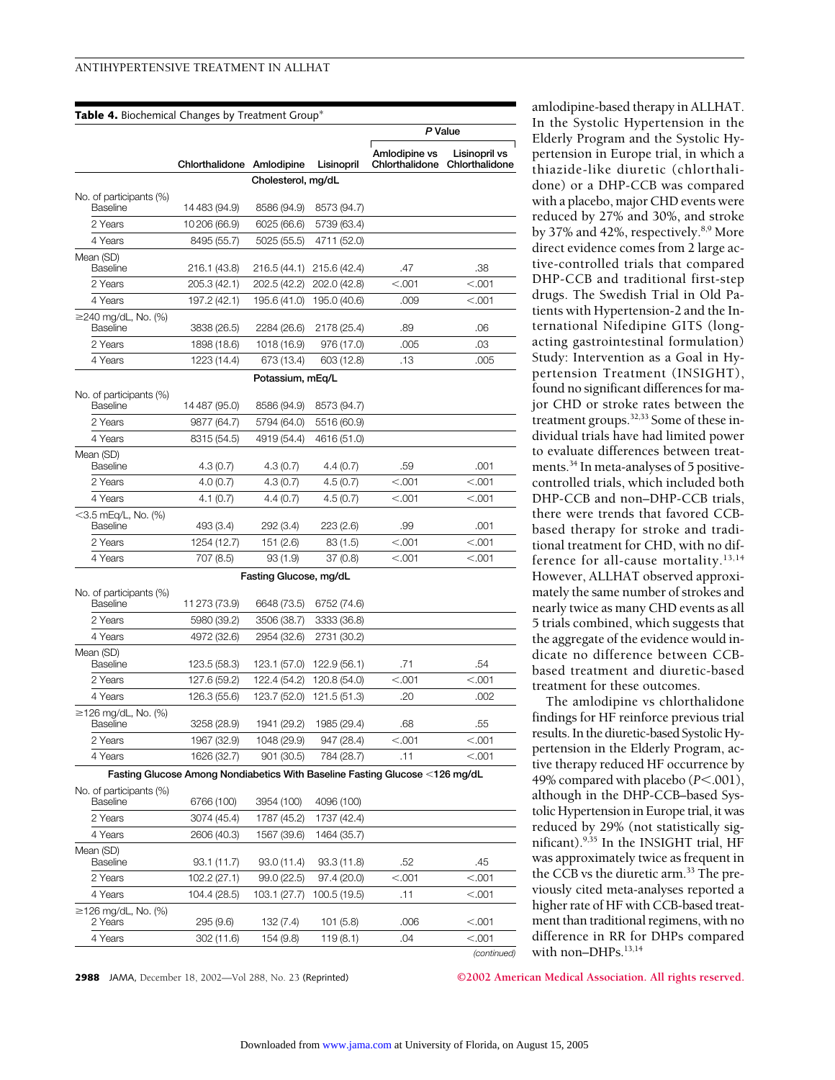|                                            |                                                                             |                        |              | P Value                         |                                 |  |  |
|--------------------------------------------|-----------------------------------------------------------------------------|------------------------|--------------|---------------------------------|---------------------------------|--|--|
|                                            |                                                                             |                        |              |                                 |                                 |  |  |
|                                            | Chlorthalidone Amlodipine                                                   |                        | Lisinopril   | Amlodipine vs<br>Chlorthalidone | Lisinopril vs<br>Chlorthalidone |  |  |
|                                            |                                                                             | Cholesterol, mg/dL     |              |                                 |                                 |  |  |
| No. of participants (%)<br><b>Baseline</b> | 14483 (94.9)                                                                | 8586 (94.9)            | 8573 (94.7)  |                                 |                                 |  |  |
| 2 Years                                    | 10206 (66.9)                                                                | 6025 (66.6)            | 5739 (63.4)  |                                 |                                 |  |  |
| 4 Years                                    | 8495 (55.7)                                                                 | 5025 (55.5)            | 4711 (52.0)  |                                 |                                 |  |  |
| Mean (SD)<br>Baseline                      | 216.1 (43.8)                                                                | 216.5 (44.1)           | 215.6 (42.4) | .47                             | .38                             |  |  |
| 2 Years                                    | 205.3 (42.1)                                                                | 202.5 (42.2)           | 202.0 (42.8) | < 0.001                         | < 0.001                         |  |  |
| 4 Years                                    | 197.2 (42.1)                                                                | 195.6 (41.0)           | 195.0 (40.6) | .009                            | < .001                          |  |  |
| $\geq$ 240 mg/dL, No. (%)<br>Baseline      |                                                                             |                        |              |                                 |                                 |  |  |
|                                            | 3838 (26.5)                                                                 | 2284 (26.6)            | 2178 (25.4)  | .89                             | .06                             |  |  |
| 2 Years                                    | 1898 (18.6)                                                                 | 1018 (16.9)            | 976 (17.0)   | .005                            | .03                             |  |  |
| 4 Years                                    | 1223 (14.4)                                                                 | 673 (13.4)             | 603 (12.8)   | .13                             | .005                            |  |  |
|                                            |                                                                             | Potassium, mEq/L       |              |                                 |                                 |  |  |
| No. of participants (%)<br>Baseline        | 14 487 (95.0)                                                               | 8586 (94.9)            | 8573 (94.7)  |                                 |                                 |  |  |
| 2 Years                                    | 9877 (64.7)                                                                 | 5794 (64.0)            | 5516 (60.9)  |                                 |                                 |  |  |
| 4 Years                                    | 8315 (54.5)                                                                 | 4919 (54.4)            | 4616 (51.0)  |                                 |                                 |  |  |
| Mean (SD)                                  |                                                                             |                        |              |                                 |                                 |  |  |
| Baseline                                   | 4.3(0.7)                                                                    | 4.3(0.7)               | 4.4(0.7)     | .59                             | .001                            |  |  |
| 2 Years                                    | 4.0(0.7)                                                                    | 4.3(0.7)               | 4.5(0.7)     | < 0.001                         | < 0.001                         |  |  |
| 4 Years                                    | 4.1(0.7)                                                                    | 4.4(0.7)               | 4.5(0.7)     | < 0.001                         | < 0.001                         |  |  |
| $<$ 3.5 mEq/L, No. (%)<br>Baseline         | 493 (3.4)                                                                   | 292 (3.4)              | 223 (2.6)    | .99                             | .001                            |  |  |
| 2 Years                                    | 1254 (12.7)                                                                 | 151 (2.6)              | 83 (1.5)     | < 0.001                         | < 0.001                         |  |  |
| 4 Years                                    | 707 (8.5)                                                                   | 93(1.9)                | 37(0.8)      | < 0.001                         | < 0.001                         |  |  |
|                                            |                                                                             | Fasting Glucose, mg/dL |              |                                 |                                 |  |  |
| No. of participants (%)<br>Baseline        | 11 273 (73.9)                                                               | 6648 (73.5)            | 6752 (74.6)  |                                 |                                 |  |  |
| 2 Years                                    | 5980 (39.2)                                                                 | 3506 (38.7)            | 3333 (36.8)  |                                 |                                 |  |  |
| 4 Years                                    | 4972 (32.6)                                                                 | 2954 (32.6)            | 2731 (30.2)  |                                 |                                 |  |  |
| Mean (SD)<br><b>Baseline</b>               | 123.5 (58.3)                                                                | 123.1 (57.0)           | 122.9 (56.1) | .71                             | .54                             |  |  |
| 2 Years                                    | 127.6 (59.2)                                                                | 122.4 (54.2)           | 120.8 (54.0) | < 0.001                         | < 0.001                         |  |  |
| 4 Years                                    | 126.3 (55.6)                                                                | 123.7 (52.0)           | 121.5 (51.3) | .20                             | .002                            |  |  |
| ≥126 mg/dL, No. (%)<br><b>Baseline</b>     | 3258 (28.9)                                                                 | 1941 (29.2)            | 1985 (29.4)  | .68                             | .55                             |  |  |
| 2 Years                                    | 1967 (32.9)                                                                 | 1048 (29.9)            | 947 (28.4)   | < 0.001                         | < 0.001                         |  |  |
| 4 Years                                    | 1626 (32.7)                                                                 | 901 (30.5)             | 784 (28.7)   | .11                             | < 0.001                         |  |  |
|                                            | Fasting Glucose Among Nondiabetics With Baseline Fasting Glucose <126 mg/dL |                        |              |                                 |                                 |  |  |
| No. of participants (%)                    |                                                                             |                        |              |                                 |                                 |  |  |
| <b>Baseline</b>                            | 6766 (100)                                                                  | 3954 (100)             | 4096 (100)   |                                 |                                 |  |  |
| 2 Years                                    | 3074 (45.4)                                                                 | 1787 (45.2)            | 1737 (42.4)  |                                 |                                 |  |  |
| 4 Years                                    | 2606 (40.3)                                                                 | 1567 (39.6)            | 1464 (35.7)  |                                 |                                 |  |  |
| Mean (SD)<br><b>Baseline</b>               | 93.1 (11.7)                                                                 | 93.0(11.4)             | 93.3(11.8)   | .52                             | .45                             |  |  |
| 2 Years                                    | 102.2 (27.1)                                                                | 99.0 (22.5)            | 97.4 (20.0)  | < 0.001                         | < 0.001                         |  |  |
| 4 Years                                    | 104.4 (28.5)                                                                | 103.1 (27.7)           | 100.5 (19.5) | .11                             | < 0.001                         |  |  |
| $≥126$ mg/dL, No. (%)<br>2 Years           | 295 (9.6)                                                                   | 132 (7.4)              | 101 (5.8)    | .006                            | < 0.001                         |  |  |
| 4 Years                                    | 302 (11.6)                                                                  | 154 (9.8)              | 119(8.1)     | .04                             | < 0.001                         |  |  |

amlodipine-based therapy in ALLHAT. In the Systolic Hypertension in the Elderly Program and the Systolic Hypertension in Europe trial, in which a thiazide-like diuretic (chlorthalidone) or a DHP-CCB was compared with a placebo, major CHD events were reduced by 27% and 30%, and stroke by 37% and 42%, respectively. $8,9$  More direct evidence comes from 2 large active-controlled trials that compared DHP-CCB and traditional first-step drugs. The Swedish Trial in Old Patients with Hypertension-2 and the International Nifedipine GITS (longacting gastrointestinal formulation) Study: Intervention as a Goal in Hypertension Treatment (INSIGHT), found no significant differences for major CHD or stroke rates between the treatment groups.32,33 Some of these individual trials have had limited power to evaluate differences between treatments.<sup>34</sup> In meta-analyses of 5 positivecontrolled trials, which included both DHP-CCB and non–DHP-CCB trials. there were trends that favored CCBbased therapy for stroke and traditional treatment for CHD, with no difference for all-cause mortality.13,14 However, ALLHAT observed approximately the same number of strokes and nearly twice as many CHD events as all 5 trials combined, which suggests that the aggregate of the evidence would indicate no difference between CCBbased treatment and diuretic-based treatment for these outcomes.

The amlodipine vs chlorthalidone findings for HF reinforce previous trial results. In the diuretic-based Systolic Hypertension in the Elderly Program, active therapy reduced HF occurrence by 49% compared with placebo ( $P$ <.001), although in the DHP-CCB–based Systolic Hypertension in Europe trial, it was reduced by 29% (not statistically significant).9,35 In the INSIGHT trial, HF was approximately twice as frequent in the CCB vs the diuretic arm.<sup>33</sup> The previously cited meta-analyses reported a higher rate of HF with CCB-based treatment than traditional regimens, with no difference in RR for DHPs compared with non-DHPs.<sup>13,14</sup>

**2988** JAMA, December 18, 2002—Vol 288, No. 23 (Reprinted) **©2002 American Medical Association. All rights reserved.**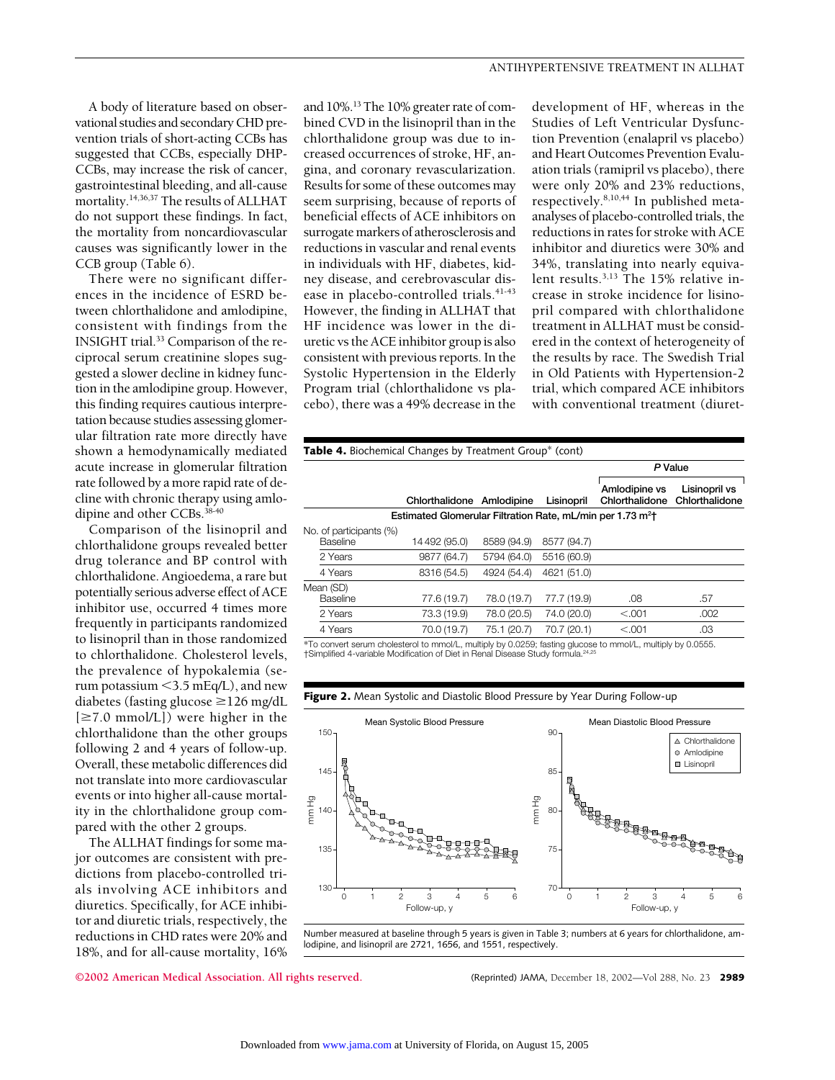A body of literature based on observational studies and secondary CHD prevention trials of short-acting CCBs has suggested that CCBs, especially DHP-CCBs, may increase the risk of cancer, gastrointestinal bleeding, and all-cause mortality.14,36,37 The results of ALLHAT do not support these findings. In fact, the mortality from noncardiovascular causes was significantly lower in the CCB group (Table 6).

There were no significant differences in the incidence of ESRD between chlorthalidone and amlodipine, consistent with findings from the INSIGHT trial.33 Comparison of the reciprocal serum creatinine slopes suggested a slower decline in kidney function in the amlodipine group. However, this finding requires cautious interpretation because studies assessing glomerular filtration rate more directly have shown a hemodynamically mediated acute increase in glomerular filtration rate followed by a more rapid rate of decline with chronic therapy using amlodipine and other CCBs.38-40

Comparison of the lisinopril and chlorthalidone groups revealed better drug tolerance and BP control with chlorthalidone. Angioedema, a rare but potentially serious adverse effect of ACE inhibitor use, occurred 4 times more frequently in participants randomized to lisinopril than in those randomized to chlorthalidone. Cholesterol levels, the prevalence of hypokalemia (serum potassium 3.5 mEq/L), and new diabetes (fasting glucose  $\geq$ 126 mg/dL  $[\geq 7.0 \text{ mmol/L}]$ ) were higher in the chlorthalidone than the other groups following 2 and 4 years of follow-up. Overall, these metabolic differences did not translate into more cardiovascular events or into higher all-cause mortality in the chlorthalidone group compared with the other 2 groups.

The ALLHAT findings for some major outcomes are consistent with predictions from placebo-controlled trials involving ACE inhibitors and diuretics. Specifically, for ACE inhibitor and diuretic trials, respectively, the reductions in CHD rates were 20% and 18%, and for all-cause mortality, 16%

and 10%.13 The 10% greater rate of combined CVD in the lisinopril than in the chlorthalidone group was due to increased occurrences of stroke, HF, angina, and coronary revascularization. Results for some of these outcomes may seem surprising, because of reports of beneficial effects of ACE inhibitors on surrogate markers of atherosclerosis and reductions in vascular and renal events in individuals with HF, diabetes, kidney disease, and cerebrovascular disease in placebo-controlled trials.<sup>41-43</sup> However, the finding in ALLHAT that HF incidence was lower in the diuretic vs the ACE inhibitor group is also consistent with previous reports. In the Systolic Hypertension in the Elderly Program trial (chlorthalidone vs placebo), there was a 49% decrease in the

development of HF, whereas in the Studies of Left Ventricular Dysfunction Prevention (enalapril vs placebo) and Heart Outcomes Prevention Evaluation trials (ramipril vs placebo), there were only 20% and 23% reductions, respectively.8,10,44 In published metaanalyses of placebo-controlled trials, the reductions in rates for stroke with ACE inhibitor and diuretics were 30% and 34%, translating into nearly equivalent results.3,13 The 15% relative increase in stroke incidence for lisinopril compared with chlorthalidone treatment in ALLHAT must be considered in the context of heterogeneity of the results by race. The Swedish Trial in Old Patients with Hypertension-2 trial, which compared ACE inhibitors with conventional treatment (diuret-

| <b>Table 4.</b> Biochemical Changes by Treatment Group <sup>*</sup> (cont) |                                                                        |             |             |                                 |                                 |  |  |  |  |
|----------------------------------------------------------------------------|------------------------------------------------------------------------|-------------|-------------|---------------------------------|---------------------------------|--|--|--|--|
|                                                                            |                                                                        |             |             | P Value                         |                                 |  |  |  |  |
|                                                                            | Chlorthalidone Amlodipine                                              |             | Lisinopril  | Amlodipine vs<br>Chlorthalidone | Lisinopril vs<br>Chlorthalidone |  |  |  |  |
|                                                                            | Estimated Glomerular Filtration Rate, mL/min per 1.73 m <sup>2</sup> t |             |             |                                 |                                 |  |  |  |  |
| No. of participants (%)                                                    |                                                                        |             |             |                                 |                                 |  |  |  |  |
| <b>Baseline</b>                                                            | 14 492 (95.0)                                                          | 8589 (94.9) | 8577 (94.7) |                                 |                                 |  |  |  |  |
| 2 Years                                                                    | 9877 (64.7)                                                            | 5794 (64.0) | 5516 (60.9) |                                 |                                 |  |  |  |  |
| 4 Years                                                                    | 8316 (54.5)                                                            | 4924 (54.4) | 4621 (51.0) |                                 |                                 |  |  |  |  |
| Mean (SD)                                                                  |                                                                        |             |             |                                 |                                 |  |  |  |  |
| <b>Baseline</b>                                                            | 77.6 (19.7)                                                            | 78.0 (19.7) | 77.7 (19.9) | .08                             | .57                             |  |  |  |  |
| 2 Years                                                                    | 73.3 (19.9)                                                            | 78.0 (20.5) | 74.0 (20.0) | < 0.01                          | .002                            |  |  |  |  |
| 4 Years                                                                    | 70.0 (19.7)                                                            | 75.1 (20.7) | 70.7 (20.1) | < 0.001                         | .03                             |  |  |  |  |

\*To convert serum cholesterol to mmol/L, multiply by 0.0259; fasting glucose to mmol/L, multiply by 0.0555. †Simplified 4-variable Modification of Diet in Renal Disease Study formula.24,25



Number measured at baseline through 5 years is given in Table 3; numbers at 6 years for chlorthalidone, amlodipine, and lisinopril are 2721, 1656, and 1551, respectively.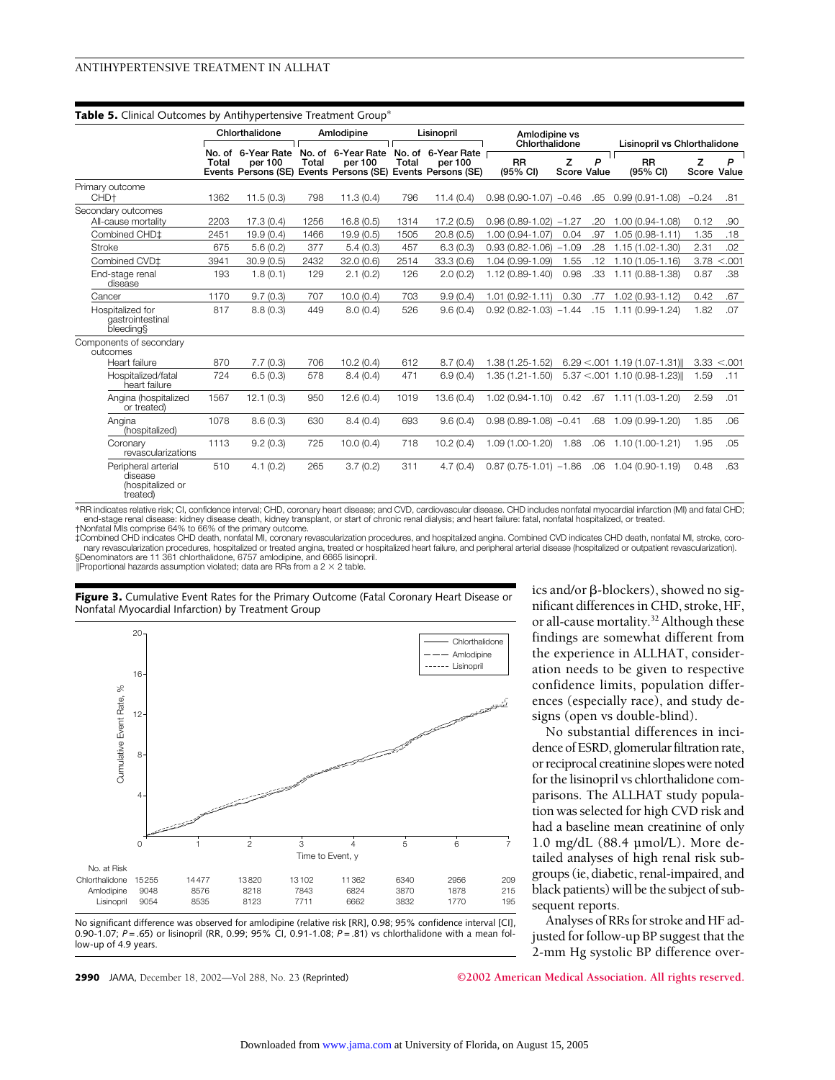| <b>Table 5.</b> Clinical Outcomes by Antihypertensive Treatment Group* |             |                                                                                              |             |                               |             |                               |                                                |                               |            |                                         |                              |                  |  |
|------------------------------------------------------------------------|-------------|----------------------------------------------------------------------------------------------|-------------|-------------------------------|-------------|-------------------------------|------------------------------------------------|-------------------------------|------------|-----------------------------------------|------------------------------|------------------|--|
|                                                                        |             | Chlorthalidone                                                                               |             | Amlodipine                    |             | Lisinopril                    | Amlodipine vs<br>Chlorthalidone                |                               |            |                                         | Lisinopril vs Chlorthalidone |                  |  |
|                                                                        | Total       | No. of 6-Year Rate<br>per 100<br>Events Persons (SE) Events Persons (SE) Events Persons (SE) | Total       | No. of 6-Year Rate<br>per 100 | Total       | No. of 6-Year Rate<br>per 100 | <b>RR</b><br>(95% CI)                          | $\overline{z}$<br>Score Value | P          | <b>RR</b><br>(95% CI)                   | z                            | P<br>Score Value |  |
| Primary outcome<br>CHD <sup>+</sup>                                    | 1362        | 11.5(0.3)                                                                                    | 798         | 11.3(0.4)                     | 796         | 11.4(0.4)                     | $0.98(0.90 - 1.07) -0.46$                      |                               | .65        | $0.99(0.91 - 1.08)$                     | $-0.24$                      | .81              |  |
| Secondary outcomes<br>All-cause mortality                              | 2203        | 17.3(0.4)                                                                                    | 1256        | 16.8(0.5)                     | 1314        | 17.2(0.5)                     | $0.96(0.89 - 1.02) - 1.27$                     |                               | .20        | 1.00 (0.94-1.08)                        | 0.12                         | .90              |  |
| Combined CHD <sup>+</sup><br><b>Stroke</b>                             | 2451<br>675 | 19.9 (0.4)<br>5.6(0.2)                                                                       | 1466<br>377 | 19.9(0.5)<br>5.4(0.3)         | 1505<br>457 | 20.8(0.5)<br>6.3(0.3)         | 1.00 (0.94-1.07)<br>$0.93(0.82 - 1.06) - 1.09$ | 0.04                          | .97<br>.28 | $1.05(0.98 - 1.11)$<br>1.15 (1.02-1.30) | 1.35<br>2.31                 | .18<br>.02       |  |
| Combined CVD <sup>+</sup>                                              | 3941        | 30.9(0.5)                                                                                    | 2432        | 32.0(0.6)                     | 2514        | 33.3(0.6)                     | 1.04 (0.99-1.09)                               | 1.55                          | .12        | $1.10(1.05 - 1.16)$                     | 3.78                         | < 0.001          |  |
| End-stage renal<br>disease                                             | 193         | 1.8(0.1)                                                                                     | 129         | 2.1(0.2)                      | 126         | 2.0(0.2)                      | $1.12(0.89 - 1.40)$                            | 0.98                          | .33        | 1.11 (0.88-1.38)                        | 0.87                         | .38              |  |
| Cancer                                                                 | 1170        | 9.7(0.3)                                                                                     | 707         | 10.0(0.4)                     | 703         | 9.9(0.4)                      | $1.01(0.92 - 1.11)$                            | 0.30                          | .77        | 1.02 (0.93-1.12)                        | 0.42                         | .67              |  |
| Hospitalized for<br>qastrointestinal<br>bleeding                       | 817         | 8.8(0.3)                                                                                     | 449         | 8.0(0.4)                      | 526         | 9.6(0.4)                      | $0.92(0.82 - 1.03) - 1.44$                     |                               | .15        | $1.11(0.99 - 1.24)$                     | 1.82                         | .07              |  |
| Components of secondary<br>outcomes<br>Heart failure                   | 870         | 7.7(0.3)                                                                                     | 706         | 10.2(0.4)                     | 612         | 8.7(0.4)                      | 1.38 (1.25-1.52)                               |                               |            | $6.29 < 001$ 1.19 (1.07-1.31)           |                              | 3.33 < 0.01      |  |
| Hospitalized/fatal<br>heart failure                                    | 724         | 6.5(0.3)                                                                                     | 578         | 8.4(0.4)                      | 471         | 6.9(0.4)                      | $1.35(1.21 - 1.50)$                            |                               |            | $5.37 < 001$ 1.10 (0.98-1.23)           | 1.59                         | .11              |  |
| Angina (hospitalized<br>or treated)                                    | 1567        | 12.1(0.3)                                                                                    | 950         | 12.6(0.4)                     | 1019        | 13.6(0.4)                     | $1.02(0.94-1.10)$                              | 0.42                          |            | .67 1.11 (1.03-1.20)                    | 2.59                         | .01              |  |
| Angina<br>(hospitalized)                                               | 1078        | 8.6(0.3)                                                                                     | 630         | 8.4(0.4)                      | 693         | 9.6(0.4)                      | $0.98(0.89 - 1.08) - 0.41$                     |                               |            | .68 1.09 (0.99-1.20)                    | 1.85                         | .06              |  |
| Coronary<br>revascularizations                                         | 1113        | 9.2(0.3)                                                                                     | 725         | 10.0(0.4)                     | 718         | 10.2(0.4)                     | $1.09(1.00-1.20)$                              | 1.88                          | .06        | 1.10 (1.00-1.21)                        | 1.95                         | .05              |  |
| Peripheral arterial<br>disease<br>(hospitalized or<br>treated)         | 510         | 4.1(0.2)                                                                                     | 265         | 3.7(0.2)                      | 311         | 4.7(0.4)                      | $0.87(0.75 - 1.01) - 1.86$                     |                               | .06        | 1.04 (0.90-1.19)                        | 0.48                         | .63              |  |

\*RR indicates relative risk; CI, confidence interval; CHD, coronary heart disease; and CVD, cardiovascular disease. CHD includes nonfatal myocardial infarction (MI) and fatal CHD; end-stage renal disease: kidney disease death, kidney transplant, or start of chronic renal dialysis; and heart failure: fatal, nonfatal hospitalized, or treated. †Nonfatal MIs comprise 64% to 66% of the primary outcome.

‡Combined CHD indicates CHD death, nonfatal MI, coronary revascularization procedures, and hospitalized angina. Combined CVD indicates CHD death, nonfatal MI, stroke, coronary revascularization procedures, hospitalized or treated angina, treated or hospitalized heart failure, and peripheral arterial disease (hospitalized or outpatient revascularization). §Denominators are 11 361 chlorthalidone, 6757 amlodipine, and 6665 lisinopril.

||Proportional hazards assumption violated; data are RRs from a  $2 \times 2$  table.

**Figure 3.** Cumulative Event Rates for the Primary Outcome (Fatal Coronary Heart Disease or Nonfatal Myocardial Infarction) by Treatment Group



No significant difference was observed for amlodipine (relative risk [RR], 0.98; 95% confidence interval [CI], 0.90-1.07; *P* = .65) or lisinopril (RR, 0.99; 95% CI, 0.91-1.08; *P* = .81) vs chlorthalidone with a mean follow-up of 4.9 years.

ics and/or  $\beta$ -blockers), showed no significant differences in CHD, stroke, HF, or all-cause mortality.32 Although these findings are somewhat different from the experience in ALLHAT, consideration needs to be given to respective confidence limits, population differences (especially race), and study designs (open vs double-blind).

No substantial differences in incidence of ESRD, glomerular filtration rate, or reciprocal creatinine slopes were noted for the lisinopril vs chlorthalidone comparisons. The ALLHAT study population was selected for high CVD risk and had a baseline mean creatinine of only 1.0 mg/dL (88.4 µmol/L). More detailed analyses of high renal risk subgroups (ie, diabetic, renal-impaired, and black patients) will be the subject of subsequent reports.

Analyses of RRs for stroke and HF adjusted for follow-up BP suggest that the 2-mm Hg systolic BP difference over-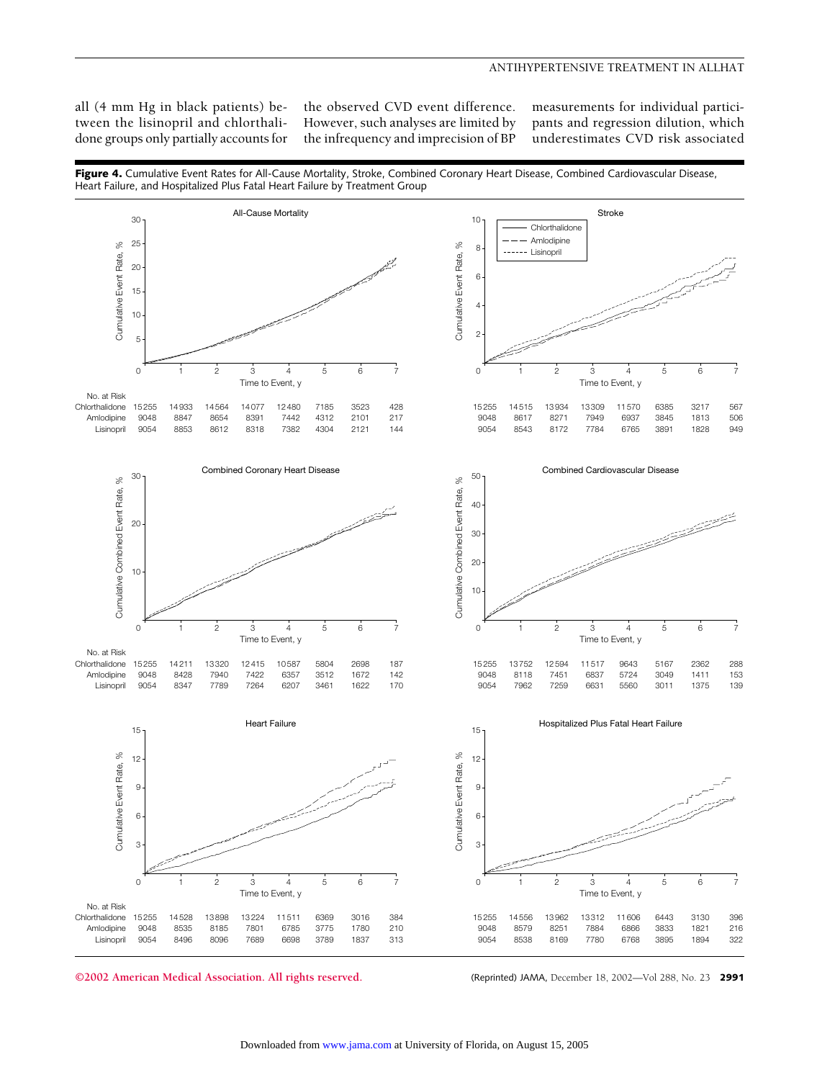## ANTIHYPERTENSIVE TREATMENT IN ALLHAT

all (4 mm Hg in black patients) between the lisinopril and chlorthalidone groups only partially accounts for the observed CVD event difference. However, such analyses are limited by the infrequency and imprecision of BP

measurements for individual participants and regression dilution, which underestimates CVD risk associated





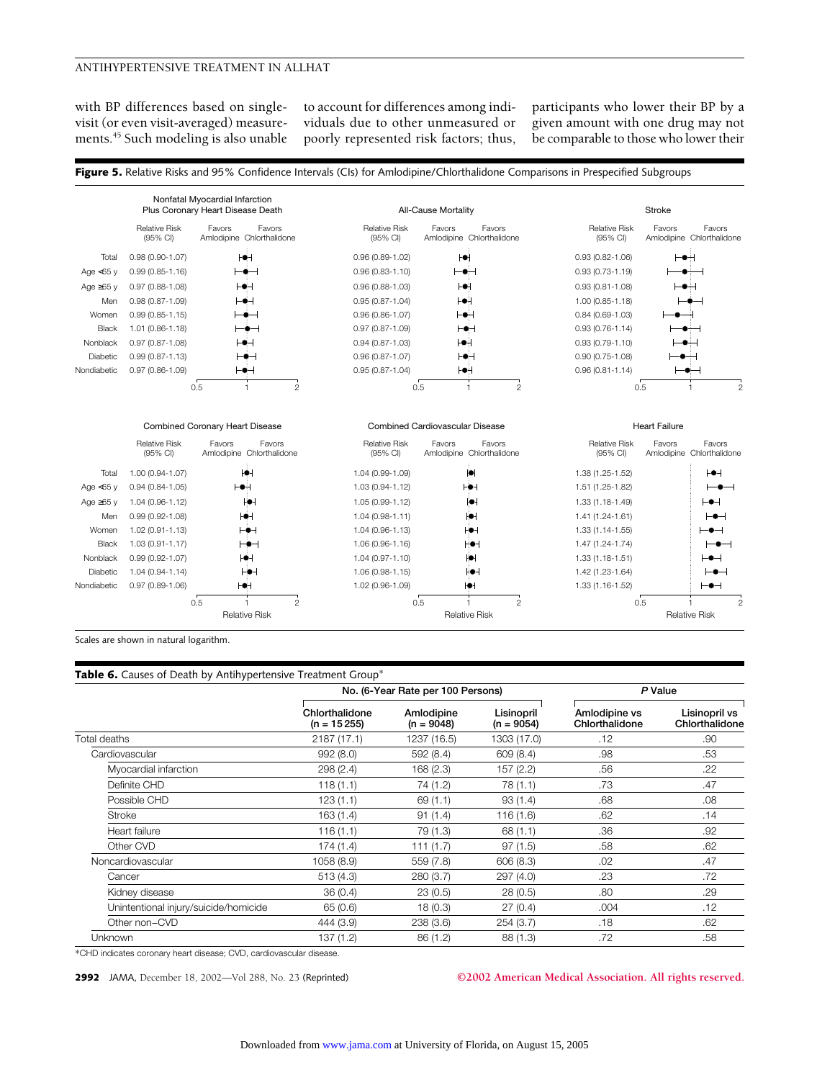## ANTIHYPERTENSIVE TREATMENT IN ALLHAT

with BP differences based on singlevisit (or even visit-averaged) measurements.<sup>45</sup> Such modeling is also unable to account for differences among individuals due to other unmeasured or poorly represented risk factors; thus,

participants who lower their BP by a given amount with one drug may not be comparable to those who lower their

|  |  | <b>Figure 5.</b> Relative Risks and 95% Confidence Intervals (CIs) for Amlodipine/Chlorthalidone Comparisons in Prespecified Subgroups |  |  |  |
|--|--|----------------------------------------------------------------------------------------------------------------------------------------|--|--|--|
|--|--|----------------------------------------------------------------------------------------------------------------------------------------|--|--|--|

| Nonfatal Myocardial Infarction<br>Plus Coronary Heart Disease Death |                                  |                                                            |                                  | All-Cause Mortality                                        |                                  | <b>Stroke</b>                                 |  |  |
|---------------------------------------------------------------------|----------------------------------|------------------------------------------------------------|----------------------------------|------------------------------------------------------------|----------------------------------|-----------------------------------------------|--|--|
|                                                                     | <b>Relative Risk</b><br>(95% CI) | Favors<br>Favors<br>Amlodipine Chlorthalidone              | <b>Relative Risk</b><br>(95% CI) | Favors<br>Favors<br>Amlodipine Chlorthalidone              | <b>Relative Risk</b><br>(95% CI) | Favors<br>Favors<br>Amlodipine Chlorthalidone |  |  |
| Total                                                               | $0.98(0.90 - 1.07)$              | ⊦ø⊣                                                        | $0.96(0.89 - 1.02)$              | $\blacktriangleright$                                      | $0.93(0.82 - 1.06)$              | ⊢●∄                                           |  |  |
| Age $<$ 65 y                                                        | $0.99(0.85 - 1.16)$              | ⊢⊷                                                         | $0.96(0.83 - 1.10)$              | ⊢∙⊢                                                        | $0.93(0.73 - 1.19)$              |                                               |  |  |
| Age $\geq 65$ y                                                     | $0.97(0.88 - 1.08)$              | ⊢⊖⊣                                                        | $0.96(0.88 - 1.03)$              | ŀ۰                                                         | $0.93(0.81 - 1.08)$              | ⊢●∸l                                          |  |  |
| Men                                                                 | $0.98(0.87 - 1.09)$              | ⊢⊕⊣                                                        | $0.95(0.87 - 1.04)$              | HOH                                                        | $1.00(0.85 - 1.18)$              |                                               |  |  |
| Women                                                               | $0.99(0.85 - 1.15)$              | ⊢⊷                                                         | $0.96(0.86 - 1.07)$              | HOH                                                        | $0.84(0.69 - 1.03)$              |                                               |  |  |
| Black                                                               | 1.01 (0.86-1.18)                 | $\longmapsto$                                              | $0.97(0.87 - 1.09)$              | ⊢e—                                                        | $0.93(0.76 - 1.14)$              |                                               |  |  |
| Nonblack                                                            | $0.97(0.87 - 1.08)$              |                                                            | $0.94(0.87 - 1.03)$              | ⊦⊕⊣                                                        | $0.93(0.79 - 1.10)$              |                                               |  |  |
| Diabetic                                                            | $0.99(0.87 - 1.13)$              |                                                            | $0.96(0.87 - 1.07)$              | ⊢●⊦                                                        | $0.90(0.75 - 1.08)$              |                                               |  |  |
| Nondiabetic                                                         | $0.97(0.86 - 1.09)$              | ⊢●⊣                                                        | $0.95(0.87 - 1.04)$              | ⊦e⊣                                                        | $0.96(0.81 - 1.14)$              | $-\bullet$ —                                  |  |  |
|                                                                     |                                  | 0.5<br>$\overline{1}$                                      | $\overline{2}$                   | 0.5<br>$\overline{c}$                                      | 0.5                              | 2                                             |  |  |
|                                                                     | <b>Relative Risk</b>             | <b>Combined Coronary Heart Disease</b><br>Favors<br>Favors | <b>Relative Risk</b>             | <b>Combined Cardiovascular Disease</b><br>Favors<br>Favors | <b>Relative Risk</b>             | <b>Heart Failure</b><br>Favors<br>Favors      |  |  |
|                                                                     | (95% CI)                         | Amlodipine Chlorthalidone                                  | (95% CI)                         | Amlodipine Chlorthalidone                                  | (95% CI)                         | Amlodipine Chlorthalidone                     |  |  |
| Total                                                               | 1.00 (0.94-1.07)                 |                                                            | 1.04 (0.99-1.09)                 | Ю                                                          | 1.38 (1.25-1.52)                 | $H +$                                         |  |  |
| Age $<$ 65 $y$                                                      | $0.94(0.84 - 1.05)$              | ⊢●∺                                                        | 1.03 (0.94-1.12)                 | ⊢●⊣                                                        | 1.51 (1.25-1.82)                 |                                               |  |  |
| Age $\geq 65$ y                                                     | $1.04(0.96 - 1.12)$              | HO-                                                        | 1.05 (0.99-1.12)                 | IO.                                                        | 1.33 (1.18-1.49)                 | ⊢●⊣                                           |  |  |
| Men                                                                 | $0.99(0.92 - 1.08)$              | ⊦●⊣                                                        | $1.04(0.98 - 1.11)$              | Юł                                                         | $1.41(1.24-1.61)$                | ⊢●⊣                                           |  |  |
| Women                                                               | $1.02(0.91 - 1.13)$              | ⊢●⊣                                                        | $1.04(0.96 - 1.13)$              | ŀe-                                                        | 1.33 (1.14-1.55)                 | ⊢⊷⊣                                           |  |  |
| Black                                                               | $1.03(0.91 - 1.17)$              | ⊢●⊣                                                        | 1.06 (0.96-1.16)                 | HO-                                                        | 1.47 (1.24-1.74)                 | -•⊣                                           |  |  |
| Nonblack                                                            | $0.99(0.92 - 1.07)$              | ⊦●⊣                                                        | 1.04 (0.97-1.10)                 | ŀО                                                         | $1.33(1.18 - 1.51)$              | ⊢●⊣                                           |  |  |
| Diabetic                                                            | $1.04(0.94 - 1.14)$              | ⊢●−                                                        | $1.06(0.98 - 1.15)$              | ⊧●⊣                                                        | 1.42 (1.23-1.64)                 | ⊢•⊣                                           |  |  |
| Nondiabetic                                                         | $0.97(0.89 - 1.06)$              |                                                            | 1.02 (0.96-1.09)                 | ŀоł                                                        | 1.33 (1.16-1.52)                 | ⊢●⊣                                           |  |  |
|                                                                     |                                  | 0.5<br><b>Relative Risk</b>                                | $\overline{2}$                   | 0.5<br>$\overline{2}$<br><b>Relative Risk</b>              | 0.5                              | $\overline{c}$<br><b>Relative Risk</b>        |  |  |
|                                                                     |                                  |                                                            |                                  |                                                            |                                  |                                               |  |  |

Scales are shown in natural logarithm.

|                                       |                                 | No. (6-Year Rate per 100 Persons) |                            | P Value                         |                                 |  |
|---------------------------------------|---------------------------------|-----------------------------------|----------------------------|---------------------------------|---------------------------------|--|
|                                       | Chlorthalidone<br>$(n = 15255)$ | Amlodipine<br>$(n = 9048)$        | Lisinopril<br>$(n = 9054)$ | Amlodipine vs<br>Chlorthalidone | Lisinopril vs<br>Chlorthalidone |  |
| Total deaths                          | 2187 (17.1)                     | 1237 (16.5)                       | 1303 (17.0)                | .12                             | .90                             |  |
| Cardiovascular                        | 992(8.0)                        | 592 (8.4)                         | 609 (8.4)                  | .98                             | .53                             |  |
| Myocardial infarction                 | 298 (2.4)                       | 168 (2.3)                         | 157(2.2)                   | .56                             | .22                             |  |
| Definite CHD                          | 118(1.1)                        | 74 (1.2)                          | 78(1.1)                    | .73                             | .47                             |  |
| Possible CHD                          | 123(1.1)                        | 69(1.1)                           | 93(1.4)                    | .68                             | .08                             |  |
| <b>Stroke</b>                         | 163(1.4)                        | 91(1.4)                           | 116(1.6)                   | .62                             | .14                             |  |
| Heart failure                         | 116(1.1)                        | 79 (1.3)                          | 68(1.1)                    | .36                             | .92                             |  |
| Other CVD                             | 174 (1.4)                       | 111(1.7)                          | 97(1.5)                    | .58                             | .62                             |  |
| Noncardiovascular                     | 1058 (8.9)                      | 559 (7.8)                         | 606 (8.3)                  | .02                             | .47                             |  |
| Cancer                                | 513(4.3)                        | 280 (3.7)                         | 297 (4.0)                  | .23                             | .72                             |  |
| Kidney disease                        | 36(0.4)                         | 23(0.5)                           | 28(0.5)                    | .80                             | .29                             |  |
| Unintentional injury/suicide/homicide | 65(0.6)                         | 18(0.3)                           | 27(0.4)                    | .004                            | .12                             |  |
| Other non-CVD                         | 444 (3.9)                       | 238 (3.6)                         | 254 (3.7)                  | .18                             | .62                             |  |
| Unknown                               | 137(1.2)                        | 86(1.2)                           | 88(1.3)                    | .72                             | .58                             |  |

\*CHD indicates coronary heart disease; CVD, cardiovascular disease.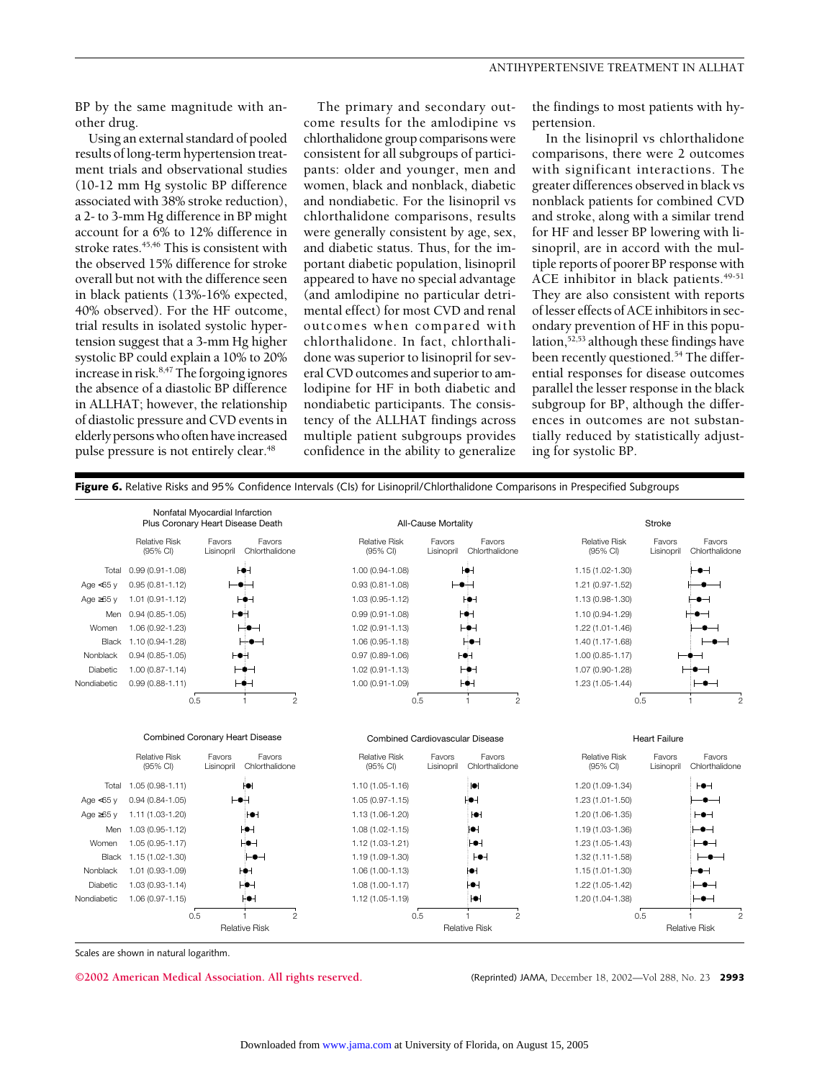BP by the same magnitude with another drug.

Using an external standard of pooled results of long-term hypertension treatment trials and observational studies (10-12 mm Hg systolic BP difference associated with 38% stroke reduction), a 2- to 3-mm Hg difference in BP might account for a 6% to 12% difference in stroke rates.<sup>45,46</sup> This is consistent with the observed 15% difference for stroke overall but not with the difference seen in black patients (13%-16% expected, 40% observed). For the HF outcome, trial results in isolated systolic hypertension suggest that a 3-mm Hg higher systolic BP could explain a 10% to 20% increase in risk.<sup>8,47</sup> The forgoing ignores the absence of a diastolic BP difference in ALLHAT; however, the relationship of diastolic pressure and CVD events in elderly persons who often have increased pulse pressure is not entirely clear.<sup>48</sup>

The primary and secondary outcome results for the amlodipine vs chlorthalidone group comparisons were consistent for all subgroups of participants: older and younger, men and women, black and nonblack, diabetic and nondiabetic. For the lisinopril vs chlorthalidone comparisons, results were generally consistent by age, sex, and diabetic status. Thus, for the important diabetic population, lisinopril appeared to have no special advantage (and amlodipine no particular detrimental effect) for most CVD and renal outcomes when compared with chlorthalidone. In fact, chlorthalidone was superior to lisinopril for several CVD outcomes and superior to amlodipine for HF in both diabetic and nondiabetic participants. The consistency of the ALLHAT findings across multiple patient subgroups provides confidence in the ability to generalize

the findings to most patients with hypertension.

In the lisinopril vs chlorthalidone comparisons, there were 2 outcomes with significant interactions. The greater differences observed in black vs nonblack patients for combined CVD and stroke, along with a similar trend for HF and lesser BP lowering with lisinopril, are in accord with the multiple reports of poorer BP response with ACE inhibitor in black patients. $49-51$ They are also consistent with reports of lesser effects of ACE inhibitors in secondary prevention of HF in this population,52,53 although these findings have been recently questioned.<sup>54</sup> The differential responses for disease outcomes parallel the lesser response in the black subgroup for BP, although the differences in outcomes are not substantially reduced by statistically adjusting for systolic BP.





Scales are shown in natural logarithm.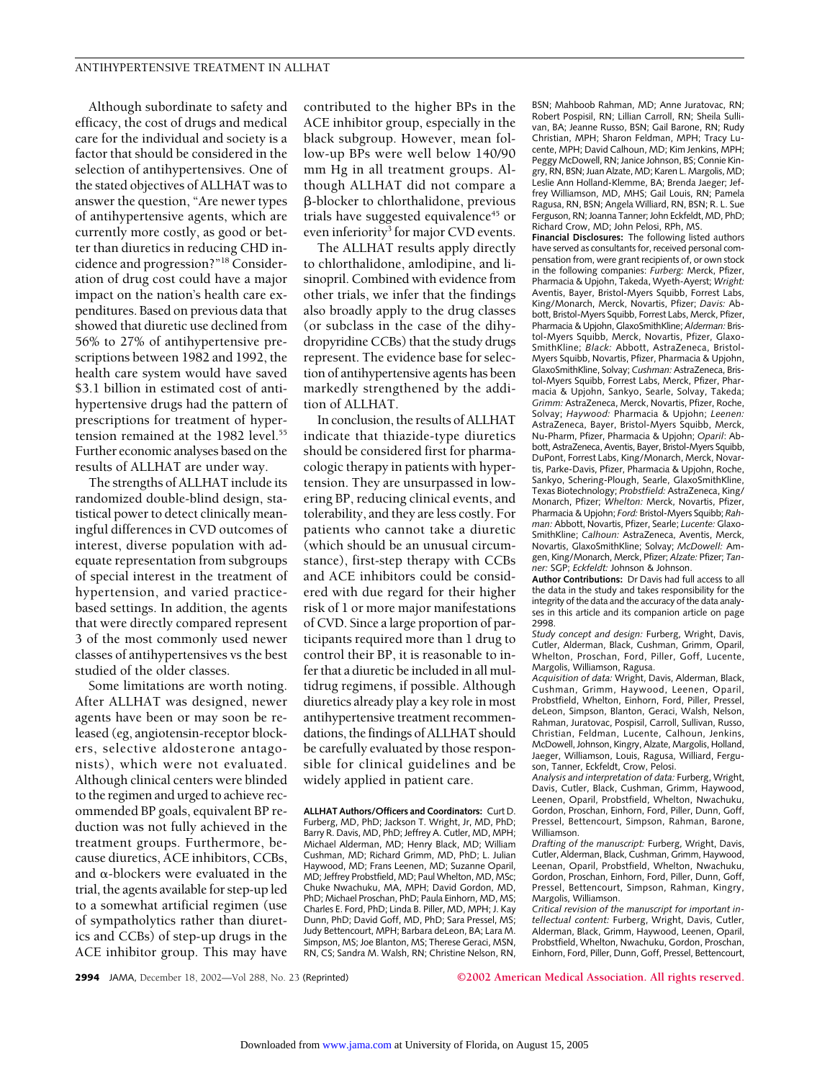Although subordinate to safety and efficacy, the cost of drugs and medical care for the individual and society is a factor that should be considered in the selection of antihypertensives. One of the stated objectives of ALLHAT was to answer the question, "Are newer types of antihypertensive agents, which are currently more costly, as good or better than diuretics in reducing CHD incidence and progression?"18 Consideration of drug cost could have a major impact on the nation's health care expenditures. Based on previous data that showed that diuretic use declined from 56% to 27% of antihypertensive prescriptions between 1982 and 1992, the health care system would have saved \$3.1 billion in estimated cost of antihypertensive drugs had the pattern of prescriptions for treatment of hypertension remained at the 1982 level.<sup>55</sup> Further economic analyses based on the results of ALLHAT are under way.

The strengths of ALLHAT include its randomized double-blind design, statistical power to detect clinically meaningful differences in CVD outcomes of interest, diverse population with adequate representation from subgroups of special interest in the treatment of hypertension, and varied practicebased settings. In addition, the agents that were directly compared represent 3 of the most commonly used newer classes of antihypertensives vs the best studied of the older classes.

Some limitations are worth noting. After ALLHAT was designed, newer agents have been or may soon be released (eg, angiotensin-receptor blockers, selective aldosterone antagonists), which were not evaluated. Although clinical centers were blinded to the regimen and urged to achieve recommended BP goals, equivalent BP reduction was not fully achieved in the treatment groups. Furthermore, because diuretics, ACE inhibitors, CCBs, and  $\alpha$ -blockers were evaluated in the trial, the agents available for step-up led to a somewhat artificial regimen (use of sympatholytics rather than diuretics and CCBs) of step-up drugs in the ACE inhibitor group. This may have

contributed to the higher BPs in the ACE inhibitor group, especially in the black subgroup. However, mean follow-up BPs were well below 140/90 mm Hg in all treatment groups. Although ALLHAT did not compare a -blocker to chlorthalidone, previous trials have suggested equivalence<sup>45</sup> or even inferiority<sup>3</sup> for major CVD events.

The ALLHAT results apply directly to chlorthalidone, amlodipine, and lisinopril. Combined with evidence from other trials, we infer that the findings also broadly apply to the drug classes (or subclass in the case of the dihydropyridine CCBs) that the study drugs represent. The evidence base for selection of antihypertensive agents has been markedly strengthened by the addition of ALLHAT.

In conclusion, the results of ALLHAT indicate that thiazide-type diuretics should be considered first for pharmacologic therapy in patients with hypertension. They are unsurpassed in lowering BP, reducing clinical events, and tolerability, and they are less costly. For patients who cannot take a diuretic (which should be an unusual circumstance), first-step therapy with CCBs and ACE inhibitors could be considered with due regard for their higher risk of 1 or more major manifestations of CVD. Since a large proportion of participants required more than 1 drug to control their BP, it is reasonable to infer that a diuretic be included in all multidrug regimens, if possible. Although diuretics already play a key role in most antihypertensive treatment recommendations, the findings of ALLHAT should be carefully evaluated by those responsible for clinical guidelines and be widely applied in patient care.

**ALLHAT Authors/Officers and Coordinators:** Curt D. Furberg, MD, PhD; Jackson T. Wright, Jr, MD, PhD; Barry R. Davis, MD, PhD; Jeffrey A. Cutler, MD, MPH; Michael Alderman, MD; Henry Black, MD; William Cushman, MD; Richard Grimm, MD, PhD; L. Julian Haywood, MD; Frans Leenen, MD; Suzanne Oparil, MD; Jeffrey Probstfield, MD; Paul Whelton, MD, MSc; Chuke Nwachuku, MA, MPH; David Gordon, MD, PhD; Michael Proschan, PhD; Paula Einhorn, MD, MS; Charles E. Ford, PhD; Linda B. Piller, MD, MPH; J. Kay Dunn, PhD; David Goff, MD, PhD; Sara Pressel, MS; Judy Bettencourt, MPH; Barbara deLeon, BA; Lara M. Simpson, MS; Joe Blanton, MS; Therese Geraci, MSN, RN, CS; Sandra M. Walsh, RN; Christine Nelson, RN,

BSN; Mahboob Rahman, MD; Anne Juratovac, RN; Robert Pospisil, RN; Lillian Carroll, RN; Sheila Sullivan, BA; Jeanne Russo, BSN; Gail Barone, RN; Rudy Christian, MPH; Sharon Feldman, MPH; Tracy Lucente, MPH; David Calhoun, MD; Kim Jenkins, MPH; Peggy McDowell, RN; Janice Johnson, BS; Connie Kingry, RN, BSN; Juan Alzate, MD; Karen L. Margolis, MD; Leslie Ann Holland-Klemme, BA; Brenda Jaeger; Jeffrey Williamson, MD, MHS; Gail Louis, RN; Pamela Ragusa, RN, BSN; Angela Williard, RN, BSN; R. L. Sue Ferguson, RN; Joanna Tanner; John Eckfeldt, MD, PhD; Richard Crow, MD; John Pelosi, RPh, MS.

**Financial Disclosures:** The following listed authors have served as consultants for, received personal compensation from, were grant recipients of, or own stock in the following companies: *Furberg:* Merck, Pfizer, Pharmacia & Upjohn, Takeda, Wyeth-Ayerst; *Wright:* Aventis, Bayer, Bristol-Myers Squibb, Forrest Labs, King/Monarch, Merck, Novartis, Pfizer; *Davis:* Abbott, Bristol-Myers Squibb, Forrest Labs, Merck, Pfizer, Pharmacia & Upjohn, GlaxoSmithKline;*Alderman:* Bristol-Myers Squibb, Merck, Novartis, Pfizer, Glaxo-SmithKline; *Black:* Abbott, AstraZeneca, Bristol-Myers Squibb, Novartis, Pfizer, Pharmacia & Upjohn, GlaxoSmithKline, Solvay; *Cushman:* AstraZeneca, Bristol-Myers Squibb, Forrest Labs, Merck, Pfizer, Pharmacia & Upjohn, Sankyo, Searle, Solvay, Takeda; *Grimm:* AstraZeneca, Merck, Novartis, Pfizer, Roche, Solvay; *Haywood:* Pharmacia & Upjohn; *Leenen:* AstraZeneca, Bayer, Bristol-Myers Squibb, Merck, Nu-Pharm, Pfizer, Pharmacia & Upjohn; *Oparil*: Abbott, AstraZeneca, Aventis, Bayer, Bristol-Myers Squibb, DuPont, Forrest Labs, King/Monarch, Merck, Novartis, Parke-Davis, Pfizer, Pharmacia & Upjohn, Roche, Sankyo, Schering-Plough, Searle, GlaxoSmithKline, Texas Biotechnology; *Probstfield:* AstraZeneca, King/ Monarch, Pfizer; *Whelton:* Merck, Novartis, Pfizer, Pharmacia & Upjohn; *Ford:* Bristol-Myers Squibb; *Rahman:* Abbott, Novartis, Pfizer, Searle; *Lucente:* Glaxo-SmithKline; *Calhoun:* AstraZeneca, Aventis, Merck, Novartis, GlaxoSmithKline; Solvay; *McDowell:* Amgen, King/Monarch, Merck, Pfizer; *Alzate:* Pfizer; *Tanner:* SGP; *Eckfeldt:* Johnson & Johnson.

**Author Contributions:** Dr Davis had full access to all the data in the study and takes responsibility for the integrity of the data and the accuracy of the data analyses in this article and its companion article on page 2998.

*Study concept and design:* Furberg, Wright, Davis, Cutler, Alderman, Black, Cushman, Grimm, Oparil, Whelton, Proschan, Ford, Piller, Goff, Lucente, Margolis, Williamson, Ragusa.

*Acquisition of data:* Wright, Davis, Alderman, Black, Cushman, Grimm, Haywood, Leenen, Oparil, Probstfield, Whelton, Einhorn, Ford, Piller, Pressel, deLeon, Simpson, Blanton, Geraci, Walsh, Nelson, Rahman, Juratovac, Pospisil, Carroll, Sullivan, Russo, Christian, Feldman, Lucente, Calhoun, Jenkins, McDowell, Johnson, Kingry, Alzate, Margolis, Holland, Jaeger, Williamson, Louis, Ragusa, Williard, Ferguson, Tanner, Eckfeldt, Crow, Pelosi.

*Analysis and interpretation of data:* Furberg, Wright, Davis, Cutler, Black, Cushman, Grimm, Haywood, Leenen, Oparil, Probstfield, Whelton, Nwachuku, Gordon, Proschan, Einhorn, Ford, Piller, Dunn, Goff, Pressel, Bettencourt, Simpson, Rahman, Barone, Williamson.

*Drafting of the manuscript:* Furberg, Wright, Davis, Cutler, Alderman, Black, Cushman, Grimm, Haywood, Leenan, Oparil, Probstfield, Whelton, Nwachuku, Gordon, Proschan, Einhorn, Ford, Piller, Dunn, Goff, Pressel, Bettencourt, Simpson, Rahman, Kingry, Margolis, Williamson.

*Critical revision of the manuscript for important intellectual content:* Furberg, Wright, Davis, Cutler, Alderman, Black, Grimm, Haywood, Leenen, Oparil, Probstfield, Whelton, Nwachuku, Gordon, Proschan, Einhorn, Ford, Piller, Dunn, Goff, Pressel, Bettencourt,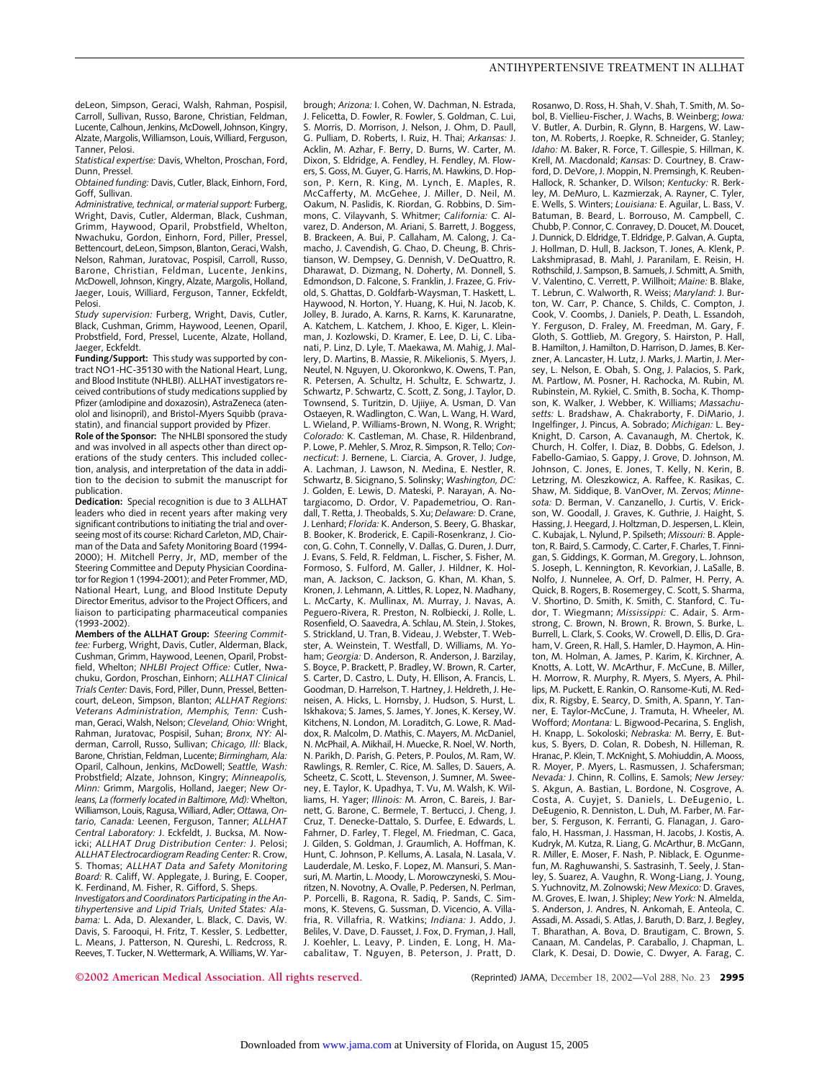deLeon, Simpson, Geraci, Walsh, Rahman, Pospisil, Carroll, Sullivan, Russo, Barone, Christian, Feldman, Lucente, Calhoun, Jenkins, McDowell, Johnson, Kingry, Alzate, Margolis, Williamson, Louis, Williard, Ferguson, Tanner, Pelosi.

*Statistical expertise:* Davis, Whelton, Proschan, Ford, Dunn, Pressel.

*Obtained funding:* Davis, Cutler, Black, Einhorn, Ford, Goff, Sullivan.

*Administrative, technical, or material support:* Furberg, Wright, Davis, Cutler, Alderman, Black, Cushman, Grimm, Haywood, Oparil, Probstfield, Whelton, Nwachuku, Gordon, Einhorn, Ford, Piller, Pressel, Bettencourt, deLeon, Simpson, Blanton, Geraci, Walsh, Nelson, Rahman, Juratovac, Pospisil, Carroll, Russo, Barone, Christian, Feldman, Lucente, Jenkins, McDowell, Johnson, Kingry, Alzate, Margolis, Holland, Jaeger, Louis, Williard, Ferguson, Tanner, Eckfeldt, Pelosi.

*Study supervision:* Furberg, Wright, Davis, Cutler, Black, Cushman, Grimm, Haywood, Leenen, Oparil, Probstfield, Ford, Pressel, Lucente, Alzate, Holland, Jaeger, Eckfeldt.

**Funding/Support:** This study was supported by contract NO1-HC-35130 with the National Heart, Lung, and Blood Institute (NHLBI). ALLHAT investigators received contributions of study medications supplied by Pfizer (amlodipine and doxazosin), AstraZeneca (atenolol and lisinopril), and Bristol-Myers Squibb (pravastatin), and financial support provided by Pfizer.

**Role of the Sponsor:** The NHLBI sponsored the study and was involved in all aspects other than direct operations of the study centers. This included collection, analysis, and interpretation of the data in addition to the decision to submit the manuscript for publication.

**Dedication:** Special recognition is due to 3 ALLHAT leaders who died in recent years after making very significant contributions to initiating the trial and overseeing most of its course: Richard Carleton, MD, Chairman of the Data and Safety Monitoring Board (1994- 2000); H. Mitchell Perry, Jr, MD, member of the Steering Committee and Deputy Physician Coordinator for Region 1 (1994-2001); and Peter Frommer, MD, National Heart, Lung, and Blood Institute Deputy Director Emeritus, advisor to the Project Officers, and liaison to participating pharmaceutical companies (1993-2002).

**Members of the ALLHAT Group:** *Steering Committee:* Furberg, Wright, Davis, Cutler, Alderman, Black, Cushman, Grimm, Haywood, Leenen, Oparil, Probstfield, Whelton; *NHLBI Project Office:* Cutler, Nwachuku, Gordon, Proschan, Einhorn; *ALLHAT Clinical Trials Center:* Davis, Ford, Piller, Dunn, Pressel, Bettencourt, deLeon, Simpson, Blanton; *ALLHAT Regions: Veterans Administration, Memphis, Tenn:* Cushman, Geraci, Walsh, Nelson; *Cleveland, Ohio:* Wright, Rahman, Juratovac, Pospisil, Suhan; *Bronx, NY:* Alderman, Carroll, Russo, Sullivan; *Chicago, Ill:* Black, Barone, Christian, Feldman, Lucente; *Birmingham, Ala:* Oparil, Calhoun, Jenkins, McDowell; *Seattle, Wash:* Probstfield; Alzate, Johnson, Kingry; *Minneapolis, Minn:* Grimm, Margolis, Holland, Jaeger; *New Orleans, La (formerly located in Baltimore, Md):*Whelton, Williamson, Louis, Ragusa, Williard, Adler; *Ottawa, Ontario, Canada:* Leenen, Ferguson, Tanner; *ALLHAT Central Laboratory:* J. Eckfeldt, J. Bucksa, M. Nowicki; *ALLHAT Drug Distribution Center:* J. Pelosi; *ALLHAT Electrocardiogram Reading Center:* R. Crow, S. Thomas; *ALLHAT Data and Safety Monitoring Board:* R. Califf, W. Applegate, J. Buring, E. Cooper, K. Ferdinand, M. Fisher, R. Gifford, S. Sheps.

*Investigators and Coordinators Participating in the Antihypertensive and Lipid Trials, United States: Alabama:* L. Ada, D. Alexander, L. Black, C. Davis, W. Davis, S. Farooqui, H. Fritz, T. Kessler, S. Ledbetter, L. Means, J. Patterson, N. Qureshi, L. Redcross, R. Reeves, T. Tucker, N. Wettermark, A. Williams, W. Yarbrough; *Arizona:* I. Cohen, W. Dachman, N. Estrada, J. Felicetta, D. Fowler, R. Fowler, S. Goldman, C. Lui, S. Morris, D. Morrison, J. Nelson, J. Ohm, D. Paull, G. Pulliam, D. Roberts, I. Ruiz, H. Thai; *Arkansas:* J. Acklin, M. Azhar, F. Berry, D. Burns, W. Carter, M. Dixon, S. Eldridge, A. Fendley, H. Fendley, M. Flowers, S. Goss, M. Guyer, G. Harris, M. Hawkins, D. Hopson, P. Kern, R. King, M. Lynch, E. Maples, R. McCafferty, M. McGehee, J. Miller, D. Neil, M. Oakum, N. Paslidis, K. Riordan, G. Robbins, D. Simmons, C. Vilayvanh, S. Whitmer; *California:* C. Alvarez, D. Anderson, M. Ariani, S. Barrett, J. Boggess, B. Brackeen, A. Bui, P. Callaham, M. Calong, J. Camacho, J. Cavendish, G. Chao, D. Cheung, B. Christianson, W. Dempsey, G. Dennish, V. DeQuattro, R. Dharawat, D. Dizmang, N. Doherty, M. Donnell, S. Edmondson, D. Falcone, S. Franklin, J. Frazee, G. Frivold, S. Ghattas, D. Goldfarb-Waysman, T. Haskett, L. Haywood, N. Horton, Y. Huang, K. Hui, N. Jacob, K. Jolley, B. Jurado, A. Karns, R. Karns, K. Karunaratne, A. Katchem, L. Katchem, J. Khoo, E. Kiger, L. Kleinman, J. Kozlowski, D. Kramer, E. Lee, D. Li, C. Libanati, P. Linz, D. Lyle, T. Maekawa, M. Mahig, J. Mallery, D. Martins, B. Massie, R. Mikelionis, S. Myers, J. Neutel, N. Nguyen, U. Okoronkwo, K. Owens, T. Pan, R. Petersen, A. Schultz, H. Schultz, E. Schwartz, J. Schwartz, P. Schwartz, C. Scott, Z. Song, J. Taylor, D. Townsend, S. Turitzin, D. Ujiiye, A. Usman, D. Van Ostaeyen, R. Wadlington, C. Wan, L. Wang, H. Ward, L. Wieland, P. Williams-Brown, N. Wong, R. Wright; *Colorado:* K. Castleman, M. Chase, R. Hildenbrand, P. Lowe, P. Mehler, S. Mroz, R. Simpson, R. Tello; *Connecticut*: J. Bernene, L. Ciarcia, A. Grover, J. Judge, A. Lachman, J. Lawson, N. Medina, E. Nestler, R. Schwartz, B. Sicignano, S. Solinsky; *Washington, DC:* J. Golden, E. Lewis, D. Mateski, P. Narayan, A. Notargiacomo, D. Ordor, V. Papademetriou, O. Randall, T. Retta, J. Theobalds, S. Xu; *Delaware:* D. Crane, J. Lenhard; *Florida:* K. Anderson, S. Beery, G. Bhaskar, B. Booker, K. Broderick, E. Capili-Rosenkranz, J. Ciocon, G. Cohn, T. Connelly, V. Dallas, G. Duren, J. Durr, J. Evans, S. Feld, R. Feldman, L. Fischer, S. Fisher, M. Formoso, S. Fulford, M. Galler, J. Hildner, K. Holman, A. Jackson, C. Jackson, G. Khan, M. Khan, S. Kronen, J. Lehmann, A. Littles, R. Lopez, N. Madhany, L. McCarty, K. Mullinax, M. Murray, J. Navas, A. Peguero-Rivera, R. Preston, N. Rolbiecki, J. Rolle, L. Rosenfield, O. Saavedra, A. Schlau, M. Stein, J. Stokes, S. Strickland, U. Tran, B. Videau, J. Webster, T. Webster, A. Weinstein, T. Westfall, D. Williams, M. Yoham; *Georgia:* D. Anderson, R. Anderson, J. Barzilay, S. Boyce, P. Brackett, P. Bradley, W. Brown, R. Carter, S. Carter, D. Castro, L. Duty, H. Ellison, A. Francis, L. Goodman, D. Harrelson, T. Hartney, J. Heldreth, J. Heneisen, A. Hicks, L. Hornsby, J. Hudson, S. Hurst, L. Iskhakova; S. James, S. James, Y. Jones, K. Kersey, W. Kitchens, N. London, M. Loraditch, G. Lowe, R. Maddox, R. Malcolm, D. Mathis, C. Mayers, M. McDaniel, N. McPhail, A. Mikhail, H. Muecke, R. Noel, W. North, N. Parikh, D. Parish, G. Peters, P. Poulos, M. Ram, W. Rawlings, R. Remler, C. Rice, M. Salles, D. Sauers, A. Scheetz, C. Scott, L. Stevenson, J. Sumner, M. Sweeney, E. Taylor, K. Upadhya, T. Vu, M. Walsh, K. Williams, H. Yager; *Illinois:* M. Arron, C. Bareis, J. Barnett, G. Barone, C. Bermele, T. Bertucci, J. Cheng, J. Cruz, T. Denecke-Dattalo, S. Durfee, E. Edwards, L. Fahrner, D. Farley, T. Flegel, M. Friedman, C. Gaca, J. Gilden, S. Goldman, J. Graumlich, A. Hoffman, K. Hunt, C. Johnson, P. Kellums, A. Lasala, N. Lasala, V. Lauderdale, M. Lesko, F. Lopez, M. Mansuri, S. Mansuri, M. Martin, L. Moody, L. Morowczyneski, S. Mouritzen, N. Novotny, A. Ovalle, P. Pedersen, N. Perlman, P. Porcelli, B. Ragona, R. Sadiq, P. Sands, C. Simmons, K. Stevens, G. Sussman, D. Vicencio, A. Villafria, R. Villafria, R. Watkins; *Indiana:* J. Addo, J. Beliles, V. Dave, D. Fausset, J. Fox, D. Fryman, J. Hall, J. Koehler, L. Leavy, P. Linden, E. Long, H. Macabalitaw, T. Nguyen, B. Peterson, J. Pratt, D.

Rosanwo, D. Ross, H. Shah, V. Shah, T. Smith, M. Sobol, B. Viellieu-Fischer, J. Wachs, B. Weinberg; *Iowa:* V. Butler, A. Durbin, R. Glynn, B. Hargens, W. Lawton, M. Roberts, J. Roepke, R. Schneider, G. Stanley; *Idaho:* M. Baker, R. Force, T. Gillespie, S. Hillman, K. Krell, M. Macdonald; *Kansas:* D. Courtney, B. Crawford, D. DeVore, J. Moppin, N. Premsingh, K. Reuben-Hallock, R. Schanker, D. Wilson; *Kentucky:* R. Berkley, M. DeMuro, L. Kazmierzak, A. Rayner, C. Tyler, E. Wells, S. Winters; *Louisiana:* E. Aguilar, L. Bass, V. Batuman, B. Beard, L. Borrouso, M. Campbell, C. Chubb, P. Connor, C. Conravey, D. Doucet, M. Doucet, J. Dunnick, D. Eldridge, T. Eldridge, P. Galvan, A. Gupta, J. Hollman, D. Hull, B. Jackson, T. Jones, A. Klenk, P. Lakshmiprasad, B. Mahl, J. Paranilam, E. Reisin, H. Rothschild, J. Sampson, B. Samuels, J. Schmitt, A. Smith, V. Valentino, C. Verrett, P. Willhoit; *Maine:* B. Blake, T. Lebrun, C. Walworth, R. Weiss; *Maryland*: J. Burton, W. Carr, P. Chance, S. Childs, C. Compton, J. Cook, V. Coombs, J. Daniels, P. Death, L. Essandoh, Y. Ferguson, D. Fraley, M. Freedman, M. Gary, F. Gloth, S. Gottlieb, M. Gregory, S. Hairston, P. Hall, B. Hamilton, J. Hamilton, D. Harrison, D. James, B. Kerzner, A. Lancaster, H. Lutz, J. Marks, J. Martin, J. Mersey, L. Nelson, E. Obah, S. Ong, J. Palacios, S. Park, M. Partlow, M. Posner, H. Rachocka, M. Rubin, M. Rubinstein, M. Rykiel, C. Smith, B. Socha, K. Thompson, K. Walker, J. Webber, K. Williams; *Massachusetts:* L. Bradshaw, A. Chakraborty, F. DiMario, J. Ingelfinger, J. Pincus, A. Sobrado; *Michigan:* L. Bey-Knight, D. Carson, A. Cavanaugh, M. Chertok, K. Church, H. Colfer, I. Diaz, B. Dobbs, G. Edelson, J. Fabello-Gamiao, S. Gappy, J. Grove, D. Johnson, M. Johnson, C. Jones, E. Jones, T. Kelly, N. Kerin, B. Letzring, M. Oleszkowicz, A. Raffee, K. Rasikas, C. Shaw, M. Siddique, B. VanOver, M. Zervos; *Minnesota:* D. Berman, V. Canzanello, J. Curtis, V. Erickson, W. Goodall, J. Graves, K. Guthrie, J. Haight, S. Hassing, J. Heegard, J. Holtzman, D. Jespersen, L. Klein, C. Kubajak, L. Nylund, P. Spilseth; *Missouri:* B. Appleton, R. Baird, S. Carmody, C. Carter, F. Charles, T. Finnigan, S. Giddings, K. Gorman, M. Gregory, L. Johnson, S. Joseph, L. Kennington, R. Kevorkian, J. LaSalle, B. Nolfo, J. Nunnelee, A. Orf, D. Palmer, H. Perry, A. Quick, B. Rogers, B. Rosemergey, C. Scott, S. Sharma, V. Shortino, D. Smith, K. Smith, C. Stanford, C. Tudor, T. Wiegmann; *Mississippi:* C. Adair, S. Armstrong, C. Brown, N. Brown, R. Brown, S. Burke, L. Burrell, L. Clark, S. Cooks, W. Crowell, D. Ellis, D. Graham, V. Green, R. Hall, S. Hamler, D. Haymon, A. Hinton, M. Holman, A. James, P. Karim, K. Kirchner, A. Knotts, A. Lott, W. McArthur, F. McCune, B. Miller, H. Morrow, R. Murphy, R. Myers, S. Myers, A. Phillips, M. Puckett, E. Rankin, O. Ransome-Kuti, M. Reddix, R. Rigsby, E. Searcy, D. Smith, A. Spann, Y. Tanner, E. Taylor-McCune, J. Tramuta, H. Wheeler, M. Wofford; *Montana:* L. Bigwood-Pecarina, S. English, H. Knapp, L. Sokoloski; *Nebraska:* M. Berry, E. Butkus, S. Byers, D. Colan, R. Dobesh, N. Hilleman, R. Hranac, P. Klein, T. McKnight, S. Mohiuddin, A. Mooss, R. Moyer, P. Myers, L. Rasmussen, J. Schafersman; *Nevada:* J. Chinn, R. Collins, E. Samols; *New Jersey:* S. Akgun, A. Bastian, L. Bordone, N. Cosgrove, A. Costa, A. Cuyjet, S. Daniels, L. DeEugenio, L. DeEugenio, R. Denniston, L. Duh, M. Farber, M. Farber, S. Ferguson, K. Ferranti, G. Flanagan, J. Garofalo, H. Hassman, J. Hassman, H. Jacobs, J. Kostis, A. Kudryk, M. Kutza, R. Liang, G. McArthur, B. McGann, R. Miller, E. Moser, F. Nash, P. Niblack, E. Ogunmefun, M. Raghuwanshi, S. Sastrasinh, T. Seely, J. Stanley, S. Suarez, A. Vaughn, R. Wong-Liang, J. Young, S. Yuchnovitz, M. Zolnowski; *New Mexico:* D. Graves, M. Groves, E. Iwan, J. Shipley; *New York:* N. Almelda, S. Anderson, J. Andres, N. Ankomah, E. Anteola, C. Assadi, M. Assadi, S. Atlas, J. Baruth, D. Barz, J. Begley, T. Bharathan, A. Bova, D. Brautigam, C. Brown, S. Canaan, M. Candelas, P. Caraballo, J. Chapman, L. Clark, K. Desai, D. Dowie, C. Dwyer, A. Farag, C.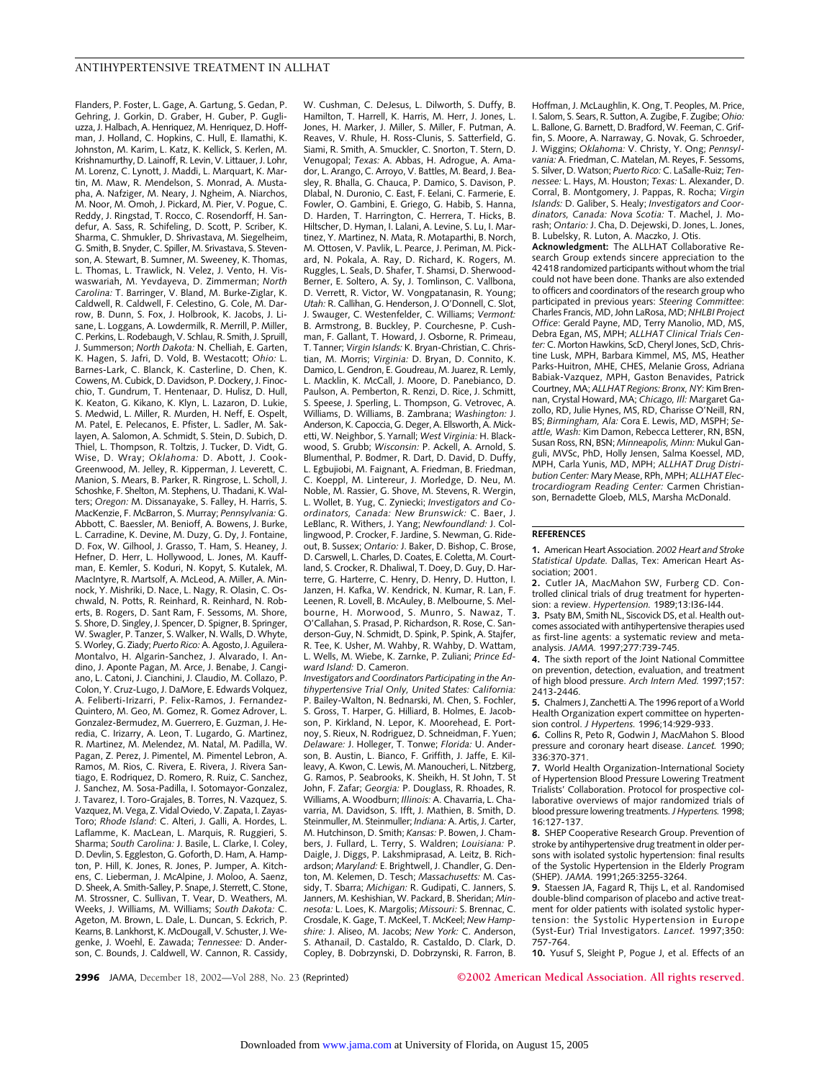#### ANTIHYPERTENSIVE TREATMENT IN ALLHAT

Flanders, P. Foster, L. Gage, A. Gartung, S. Gedan, P. Gehring, J. Gorkin, D. Graber, H. Guber, P. Gugliuzza, J. Halbach, A. Henriquez, M. Henriquez, D. Hoffman, J. Holland, C. Hopkins, C. Hull, E. Ilamathi, K. Johnston, M. Karim, L. Katz, K. Kellick, S. Kerlen, M. Krishnamurthy, D. Lainoff, R. Levin, V. Littauer, J. Lohr, M. Lorenz, C. Lynott, J. Maddi, L. Marquart, K. Martin, M. Maw, R. Mendelson, S. Monrad, A. Mustapha, A. Nafziger, M. Neary, J. Ngheim, A. Niarchos, M. Noor, M. Omoh, J. Pickard, M. Pier, V. Pogue, C. Reddy, J. Ringstad, T. Rocco, C. Rosendorff, H. Sandefur, A. Sass, R. Schifeling, D. Scott, P. Scriber, K. Sharma, C. Shmukler, D. Shrivastava, M. Siegelheim, G. Smith, B. Snyder, C. Spiller, M. Srivastava, S. Stevenson, A. Stewart, B. Sumner, M. Sweeney, K. Thomas, L. Thomas, L. Trawlick, N. Velez, J. Vento, H. Viswaswariah, M. Yevdayeva, D. Zimmerman; *North Carolina:* T. Barringer, V. Bland, M. Burke-Ziglar, K. Caldwell, R. Caldwell, F. Celestino, G. Cole, M. Darrow, B. Dunn, S. Fox, J. Holbrook, K. Jacobs, J. Lisane, L. Loggans, A. Lowdermilk, R. Merrill, P. Miller, C. Perkins, L. Rodebaugh, V. Schlau, R. Smith, J. Spruill, J. Summerson; *North Dakota:* N. Chelliah, E. Garten, K. Hagen, S. Jafri, D. Vold, B. Westacott; *Ohio:* L. Barnes-Lark, C. Blanck, K. Casterline, D. Chen, K. Cowens, M. Cubick, D. Davidson, P. Dockery, J. Finocchio, T. Gundrum, T. Hentenaar, D. Hulisz, D. Hull, K. Keaton, G. Kikano, K. Klyn, L. Lazaron, D. Lukie, S. Medwid, L. Miller, R. Murden, H. Neff, E. Ospelt, M. Patel, E. Pelecanos, E. Pfister, L. Sadler, M. Saklayen, A. Salomon, A. Schmidt, S. Stein, D. Subich, D. Thiel, L. Thompson, R. Toltzis, J. Tucker, D. Vidt, G. Wise, D. Wray; *Oklahoma:* D. Abott, J. Cook-Greenwood, M. Jelley, R. Kipperman, J. Leverett, C. Manion, S. Mears, B. Parker, R. Ringrose, L. Scholl, J. Schoshke, F. Shelton, M. Stephens, U. Thadani, K. Walters; *Oregon:* M. Dissanayake, S. Falley, H. Harris, S. MacKenzie, F. McBarron, S. Murray; *Pennsylvania:* G. Abbott, C. Baessler, M. Benioff, A. Bowens, J. Burke, L. Carradine, K. Devine, M. Duzy, G. Dy, J. Fontaine, D. Fox, W. Gilhool, J. Grasso, T. Ham, S. Heaney, J. Hefner, D. Herr, L. Hollywood, L. Jones, M. Kauffman, E. Kemler, S. Koduri, N. Kopyt, S. Kutalek, M. MacIntyre, R. Martsolf, A. McLeod, A. Miller, A. Minnock, Y. Mishriki, D. Nace, L. Nagy, R. Olasin, C. Oschwald, N. Potts, R. Reinhard, R. Reinhard, N. Roberts, B. Rogers, D. Sant Ram, F. Sessoms, M. Shore, S. Shore, D. Singley, J. Spencer, D. Spigner, B. Springer, W. Swagler, P. Tanzer, S. Walker, N. Walls, D. Whyte, S. Worley, G. Ziady; *Puerto Rico:*A. Agosto, J. Aguilera-Montalvo, H. Algarin-Sanchez, J. Alvarado, I. Andino, J. Aponte Pagan, M. Arce, J. Benabe, J. Cangiano, L. Catoni, J. Cianchini, J. Claudio, M. Collazo, P. Colon, Y. Cruz-Lugo, J. DaMore, E. Edwards Volquez, A. Feliberti-Irizarri, P. Felix-Ramos, J. Fernandez-Quintero, M. Geo, M. Gomez, R. Gomez Adrover, L. Gonzalez-Bermudez, M. Guerrero, E. Guzman, J. Heredia, C. Irizarry, A. Leon, T. Lugardo, G. Martinez, R. Martinez, M. Melendez, M. Natal, M. Padilla, W. Pagan, Z. Perez, J. Pimentel, M. Pimentel Lebron, A. Ramos, M. Rios, C. Rivera, E. Rivera, J. Rivera Santiago, E. Rodriquez, D. Romero, R. Ruiz, C. Sanchez, J. Sanchez, M. Sosa-Padilla, I. Sotomayor-Gonzalez, J. Tavarez, I. Toro-Grajales, B. Torres, N. Vazquez, S. Vazquez, M. Vega, Z. Vidal Oviedo, V. Zapata, I. Zayas-Toro; *Rhode Island*: C. Alteri, J. Galli, A. Hordes, L. Laflamme, K. MacLean, L. Marquis, R. Ruggieri, S. Sharma; *South Carolina:* J. Basile, L. Clarke, I. Coley, D. Devlin, S. Eggleston, G. Goforth, D. Ham, A. Hampton, P. Hill, K. Jones, R. Jones, P. Jumper, A. Kitchens, C. Lieberman, J. McAlpine, J. Moloo, A. Saenz, D. Sheek, A. Smith-Salley, P. Snape, J. Sterrett, C. Stone, M. Strossner, C. Sullivan, T. Vear, D. Weathers, M. Weeks, J. Williams, M. Williams; *South Dakota:* C. Ageton, M. Brown, L. Dale, L. Duncan, S. Eckrich, P. Kearns, B. Lankhorst, K. McDougall, V. Schuster, J. Wegenke, J. Woehl, E. Zawada; *Tennessee:* D. Anderson, C. Bounds, J. Caldwell, W. Cannon, R. Cassidy,

W. Cushman, C. DeJesus, L. Dilworth, S. Duffy, B. Hamilton, T. Harrell, K. Harris, M. Herr, J. Jones, L. Jones, H. Marker, J. Miller, S. Miller, F. Putman, A. Reaves, V. Rhule, H. Ross-Clunis, S. Satterfield, G. Siami, R. Smith, A. Smuckler, C. Snorton, T. Stern, D. Venugopal; *Texas:* A. Abbas, H. Adrogue, A. Amador, L. Arango, C. Arroyo, V. Battles, M. Beard, J. Beasley, R. Bhalla, G. Chauca, P. Damico, S. Davison, P. Dlabal, N. Duronio, C. East, F. Eelani, C. Farmerie, E. Fowler, O. Gambini, E. Griego, G. Habib, S. Hanna, D. Harden, T. Harrington, C. Herrera, T. Hicks, B. Hiltscher, D. Hyman, I. Lalani, A. Levine, S. Lu, I. Martinez, Y. Martinez, N. Mata, R. Motaparthi, B. Norch, M. Ottosen, V. Pavlik, L. Pearce, J. Periman, M. Pickard, N. Pokala, A. Ray, D. Richard, K. Rogers, M. Ruggles, L. Seals, D. Shafer, T. Shamsi, D. Sherwood-Berner, E. Soltero, A. Sy, J. Tomlinson, C. Vallbona, D. Verrett, R. Victor, W. Vongpatanasin, R. Young; *Utah:* R. Callihan, G. Henderson, J. O'Donnell, C. Slot, J. Swauger, C. Westenfelder, C. Williams; *Vermont:* B. Armstrong, B. Buckley, P. Courchesne, P. Cushman, F. Gallant, T. Howard, J. Osborne, R. Primeau, T. Tanner; *Virgin Islands:* K. Bryan-Christian, C. Christian, M. Morris; *Virginia:* D. Bryan, D. Connito, K. Damico, L. Gendron, E. Goudreau, M. Juarez, R. Lemly, L. Macklin, K. McCall, J. Moore, D. Panebianco, D. Paulson, A. Pemberton, R. Renzi, D. Rice, J. Schmitt, S. Speese, J. Sperling, L. Thompson, G. Vetrovec, A. Williams, D. Williams, B. Zambrana; *Washington:* J. Anderson, K. Capoccia, G. Deger, A. Ellsworth, A. Micketti, W. Neighbor, S. Yarnall; *West Virginia:* H. Blackwood, S. Grubb; *Wisconsin:* P. Ackell, A. Arnold, S. Blumenthal, P. Bodmer, R. Dart, D. David, D. Duffy, L. Egbujiobi, M. Faignant, A. Friedman, B. Friedman, C. Koeppl, M. Lintereur, J. Morledge, D. Neu, M. Noble, M. Rassier, G. Shove, M. Stevens, R. Wergin, L. Wollet, B. Yug, C. Zyniecki; *Investigators and Coordinators, Canada: New Brunswick:* C. Baer, J. LeBlanc, R. Withers, J. Yang; *Newfoundland:* J. Collingwood, P. Crocker, F. Jardine, S. Newman, G. Rideout, B. Sussex; *Ontario:* J. Baker, D. Bishop, C. Brose, D. Carswell, L. Charles, D. Coates, E. Coletta, M. Courtland, S. Crocker, R. Dhaliwal, T. Doey, D. Guy, D. Harterre, G. Harterre, C. Henry, D. Henry, D. Hutton, I. Janzen, H. Kafka, W. Kendrick, N. Kumar, R. Lan, F. Leenen, R. Lovell, B. McAuley, B. Melbourne, S. Melbourne, H. Morwood, S. Munro, S. Nawaz, T. O'Callahan, S. Prasad, P. Richardson, R. Rose, C. Sanderson-Guy, N. Schmidt, D. Spink, P. Spink, A. Stajfer, R. Tee, K. Usher, M. Wahby, R. Wahby, D. Wattam, L. Wells, M. Wiebe, K. Zarnke, P. Zuliani; *Prince Edward Island:* D. Cameron.

*Investigators and Coordinators Participating in the Antihypertensive Trial Only, United States: California:* P. Bailey-Walton, N. Bednarski, M. Chen, S. Fochler, S. Gross, T. Harper, G. Hilliard, B. Holmes, E. Jacobson, P. Kirkland, N. Lepor, K. Moorehead, E. Portnoy, S. Rieux, N. Rodriguez, D. Schneidman, F. Yuen; *Delaware:* J. Holleger, T. Tonwe; *Florida:* U. Anderson, B. Austin, L. Bianco, F. Griffith, J. Jaffe, E. Killeavy, A. Kwon, C. Lewis, M. Manoucheri, L. Nitzberg, G. Ramos, P. Seabrooks, K. Sheikh, H. St John, T. St John, F. Zafar; *Georgia:* P. Douglass, R. Rhoades, R. Williams, A. Woodburn; *Illinois:* A. Chavarria, L. Chavarria, M. Davidson, S. Ifft, J. Mathien, B. Smith, D. Steinmuller, M. Steinmuller; *Indiana:* A. Artis, J. Carter, M. Hutchinson, D. Smith; *Kansas:* P. Bowen, J. Chambers, J. Fullard, L. Terry, S. Waldren; *Louisiana:* P. Daigle, J. Diggs, P. Lakshmiprasad, A. Leitz, B. Richardson; *Maryland:* E. Brightwell, J. Chandler, G. Denton, M. Kelemen, D. Tesch; *Massachusetts:* M. Cassidy, T. Sbarra; *Michigan:* R. Gudipati, C. Janners, S. Janners, M. Keshishian, W. Packard, B. Sheridan; *Minnesota:* L. Loes, K. Margolis; *Missouri:* S. Brennac, C. Crosdale, K. Gage, T. McKeel, T. McKeel; *New Hampshire:* J. Aliseo, M. Jacobs; *New York:* C. Anderson, S. Athanail, D. Castaldo, R. Castaldo, D. Clark, D. Copley, B. Dobrzynski, D. Dobrzynski, R. Farron, B. Hoffman, J. McLaughlin, K. Ong, T. Peoples, M. Price, I. Salom, S. Sears, R. Sutton, A. Zugibe, F. Zugibe; *Ohio:* L. Ballone, G. Barnett, D. Bradford, W. Feeman, C. Griffin, S. Moore, A. Narraway, G. Novak, G. Schroeder, J. Wiggins; *Oklahoma:* V. Christy, Y. Ong; *Pennsylvania:* A. Friedman, C. Matelan, M. Reyes, F. Sessoms, S. Silver, D. Watson; *Puerto Rico:* C. LaSalle-Ruiz; *Tennessee:* L. Hays, M. Houston; *Texas:* L. Alexander, D. Corral, B. Montgomery, J. Pappas, R. Rocha; *Virgin Islands:* D. Galiber, S. Healy; *Investigators and Coordinators, Canada: Nova Scotia:* T. Machel, J. Morash; *Ontario:* J. Cha, D. Dejewski, D. Jones, L. Jones, B. Lubelsky, R. Luton, A. Maczko, J. Otis.

**Acknowledgment:** The ALLHAT Collaborative Research Group extends sincere appreciation to the 42418 randomized participants without whom the trial could not have been done. Thanks are also extended to officers and coordinators of the research group who participated in previous years: *Steering Committee*: Charles Francis, MD, John LaRosa, MD; *NHLBI Project Office*: Gerald Payne, MD, Terry Manolio, MD, MS, Debra Egan, MS, MPH; *ALLHAT Clinical Trials Center:* C. Morton Hawkins, ScD, Cheryl Jones, ScD, Christine Lusk, MPH, Barbara Kimmel, MS, MS, Heather Parks-Huitron, MHE, CHES, Melanie Gross, Adriana Babiak-Vazquez, MPH, Gaston Benavides, Patrick Courtney, MA;*ALLHAT Regions: Bronx, NY:* Kim Brennan, Crystal Howard, MA; *Chicago, Ill:* Margaret Gazollo, RD, Julie Hynes, MS, RD, Charisse O'Neill, RN, BS; *Birmingham, Ala:* Cora E. Lewis, MD, MSPH; *Seattle, Wash:* Kim Damon, Rebecca Letterer, RN, BSN, Susan Ross, RN, BSN; *Minneapolis, Minn:* Mukul Ganguli, MVSc, PhD, Holly Jensen, Salma Koessel, MD, MPH, Carla Yunis, MD, MPH; *ALLHAT Drug Distribution Center:* Mary Mease, RPh, MPH; *ALLHAT Electrocardiogram Reading Center:* Carmen Christianson, Bernadette Gloeb, MLS, Marsha McDonald.

#### **REFERENCES**

**1.** American Heart Association. *2002 Heart and Stroke Statistical Update.* Dallas, Tex: American Heart Association; 2001.

**2.** Cutler JA, MacMahon SW, Furberg CD. Controlled clinical trials of drug treatment for hypertension: a review. *Hypertension.* 1989;13:I36-I44.

**3.** Psaty BM, Smith NL, Siscovick DS, et al. Health outcomes associated with antihypertensive therapies used as first-line agents: a systematic review and metaanalysis. *JAMA.* 1997;277:739-745.

**4.** The sixth report of the Joint National Committee on prevention, detection, evaluation, and treatment of high blood pressure. *Arch Intern Med.* 1997;157: 2413-2446.

**5.** Chalmers J, Zanchetti A. The 1996 report of a World Health Organization expert committee on hypertension control. *J Hypertens.* 1996;14:929-933.

**6.** Collins R, Peto R, Godwin J, MacMahon S. Blood pressure and coronary heart disease. *Lancet.* 1990; 336:370-371.

**7.** World Health Organization-International Society of Hypertension Blood Pressure Lowering Treatment Trialists' Collaboration. Protocol for prospective collaborative overviews of major randomized trials of blood pressure lowering treatments.*J Hypertens.* 1998; 16:127-137.

**8.** SHEP Cooperative Research Group. Prevention of stroke by antihypertensive drug treatment in older persons with isolated systolic hypertension: final results of the Systolic Hypertension in the Elderly Program (SHEP). *JAMA.* 1991;265:3255-3264.

**9.** Staessen JA, Fagard R, Thijs L, et al. Randomised double-blind comparison of placebo and active treatment for older patients with isolated systolic hypertension: the Systolic Hypertension in Europe (Syst-Eur) Trial Investigators. *Lancet.* 1997;350: 757-764.

**10.** Yusuf S, Sleight P, Pogue J, et al. Effects of an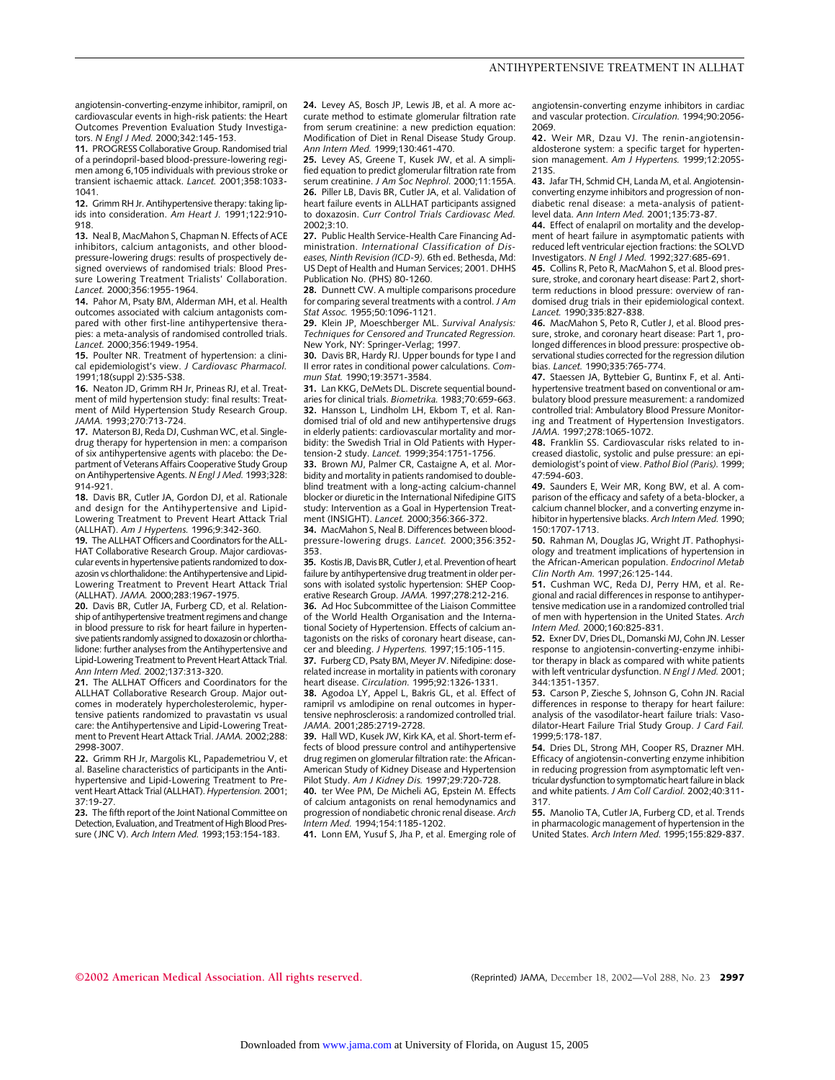angiotensin-converting-enzyme inhibitor, ramipril, on cardiovascular events in high-risk patients: the Heart Outcomes Prevention Evaluation Study Investigators. *N Engl J Med.* 2000;342:145-153.

**11.** PROGRESS Collaborative Group. Randomised trial of a perindopril-based blood-pressure-lowering regimen among 6,105 individuals with previous stroke or transient ischaemic attack. *Lancet.* 2001;358:1033- 1041.

**12.** Grimm RH Jr. Antihypertensive therapy: taking lipids into consideration. *Am Heart J.* 1991;122:910- 918.

**13.** Neal B, MacMahon S, Chapman N. Effects of ACE inhibitors, calcium antagonists, and other bloodpressure-lowering drugs: results of prospectively designed overviews of randomised trials: Blood Pressure Lowering Treatment Trialists' Collaboration. *Lancet.* 2000;356:1955-1964.

**14.** Pahor M, Psaty BM, Alderman MH, et al. Health outcomes associated with calcium antagonists compared with other first-line antihypertensive therapies: a meta-analysis of randomised controlled trials. *Lancet.* 2000;356:1949-1954.

**15.** Poulter NR. Treatment of hypertension: a clinical epidemiologist's view. *J Cardiovasc Pharmacol.* 1991;18(suppl 2):S35-S38.

**16.** Neaton JD, Grimm RH Jr, Prineas RJ, et al. Treatment of mild hypertension study: final results: Treatment of Mild Hypertension Study Research Group. *JAMA.* 1993;270:713-724.

**17.** Materson BJ, Reda DJ, Cushman WC, et al. Singledrug therapy for hypertension in men: a comparison of six antihypertensive agents with placebo: the Department of Veterans Affairs Cooperative Study Group on Antihypertensive Agents. *N Engl J Med.* 1993;328: 914-921.

**18.** Davis BR, Cutler JA, Gordon DJ, et al. Rationale and design for the Antihypertensive and Lipid-Lowering Treatment to Prevent Heart Attack Trial (ALLHAT). *Am J Hypertens.* 1996;9:342-360.

**19.** The ALLHAT Officers and Coordinators for the ALL-HAT Collaborative Research Group. Major cardiovascular events in hypertensive patients randomized to doxazosin vs chlorthalidone: the Antihypertensive and Lipid-Lowering Treatment to Prevent Heart Attack Trial (ALLHAT). *JAMA.* 2000;283:1967-1975.

**20.** Davis BR, Cutler JA, Furberg CD, et al. Relationship of antihypertensive treatment regimens and change in blood pressure to risk for heart failure in hypertensive patients randomly assigned to doxazosin or chlorthalidone: further analyses from the Antihypertensive and Lipid-Lowering Treatment to Prevent Heart Attack Trial. *Ann Intern Med.* 2002;137:313-320.

**21.** The ALLHAT Officers and Coordinators for the ALLHAT Collaborative Research Group. Major outcomes in moderately hypercholesterolemic, hypertensive patients randomized to pravastatin vs usual care: the Antihypertensive and Lipid-Lowering Treatment to Prevent Heart Attack Trial. *JAMA.* 2002;288: 2998-3007.

**22.** Grimm RH Jr, Margolis KL, Papademetriou V, et al. Baseline characteristics of participants in the Antihypertensive and Lipid-Lowering Treatment to Prevent Heart Attack Trial (ALLHAT). *Hypertension.* 2001; 37:19-27.

**23.** The fifth report of the Joint National Committee on Detection, Evaluation, and Treatment of High Blood Pressure (JNC V). *Arch Intern Med.* 1993;153:154-183.

**24.** Levey AS, Bosch JP, Lewis JB, et al. A more accurate method to estimate glomerular filtration rate from serum creatinine: a new prediction equation: Modification of Diet in Renal Disease Study Group. *Ann Intern Med.* 1999;130:461-470.

**25.** Levey AS, Greene T, Kusek JW, et al. A simplified equation to predict glomerular filtration rate from serum creatinine. *J Am Soc Nephrol.* 2000;11:155A. **26.** Piller LB, Davis BR, Cutler JA, et al. Validation of heart failure events in ALLHAT participants assigned to doxazosin. *Curr Control Trials Cardiovasc Med.* 2002;3:10.

**27.** Public Health Service-Health Care Financing Administration. *International Classification of Diseases, Ninth Revision (ICD-9).* 6th ed. Bethesda, Md: US Dept of Health and Human Services; 2001. DHHS Publication No. (PHS) 80-1260.

**28.** Dunnett CW. A multiple comparisons procedure for comparing several treatments with a control. *J Am Stat Assoc.* 1955;50:1096-1121.

**29.** Klein JP, Moeschberger ML. *Survival Analysis: Techniques for Censored and Truncated Regression.* New York, NY: Springer-Verlag; 1997.

**30.** Davis BR, Hardy RJ. Upper bounds for type I and II error rates in conditional power calculations. *Commun Stat.* 1990;19:3571-3584.

**31.** Lan KKG, DeMets DL. Discrete sequential boundaries for clinical trials. *Biometrika.* 1983;70:659-663. **32.** Hansson L, Lindholm LH, Ekbom T, et al. Randomised trial of old and new antihypertensive drugs in elderly patients: cardiovascular mortality and morbidity: the Swedish Trial in Old Patients with Hypertension-2 study. *Lancet.* 1999;354:1751-1756.

**33.** Brown MJ, Palmer CR, Castaigne A, et al. Morbidity and mortality in patients randomised to doubleblind treatment with a long-acting calcium-channel blocker or diuretic in the International Nifedipine GITS study: Intervention as a Goal in Hypertension Treatment (INSIGHT). *Lancet.* 2000;356:366-372.

**34.** MacMahon S, Neal B. Differences between bloodpressure-lowering drugs. *Lancet.* 2000;356:352- 353.

**35.** Kostis JB, Davis BR, Cutler J, et al. Prevention of heart failure by antihypertensive drug treatment in older persons with isolated systolic hypertension: SHEP Coop-erative Research Group. *JAMA.* 1997;278:212-216. **36.** Ad Hoc Subcommittee of the Liaison Committee

of the World Health Organisation and the International Society of Hypertension. Effects of calcium antagonists on the risks of coronary heart disease, cancer and bleeding. *J Hypertens.* 1997;15:105-115.

**37.** Furberg CD, Psaty BM, Meyer JV. Nifedipine: doserelated increase in mortality in patients with coronary heart disease. *Circulation.* 1995;92:1326-1331.

**38.** Agodoa LY, Appel L, Bakris GL, et al. Effect of ramipril vs amlodipine on renal outcomes in hypertensive nephrosclerosis: a randomized controlled trial. *JAMA.* 2001;285:2719-2728.

**39.** Hall WD, Kusek JW, Kirk KA, et al. Short-term effects of blood pressure control and antihypertensive drug regimen on glomerular filtration rate: the African-American Study of Kidney Disease and Hypertension Pilot Study. *Am J Kidney Dis.* 1997;29:720-728.

**40.** ter Wee PM, De Micheli AG, Epstein M. Effects of calcium antagonists on renal hemodynamics and progression of nondiabetic chronic renal disease. *Arch Intern Med.* 1994;154:1185-1202.

**41.** Lonn EM, Yusuf S, Jha P, et al. Emerging role of

angiotensin-converting enzyme inhibitors in cardiac and vascular protection. *Circulation.* 1994;90:2056- 2069.

**42.** Weir MR, Dzau VJ. The renin-angiotensinaldosterone system: a specific target for hypertension management. *Am J Hypertens.* 1999;12:205S-213S.

**43.** Jafar TH, Schmid CH, Landa M, et al. Angiotensinconverting enzyme inhibitors and progression of nondiabetic renal disease: a meta-analysis of patientlevel data. *Ann Intern Med.* 2001;135:73-87.

**44.** Effect of enalapril on mortality and the development of heart failure in asymptomatic patients with reduced left ventricular ejection fractions: the SOLVD Investigators. *N Engl J Med.* 1992;327:685-691.

**45.** Collins R, Peto R, MacMahon S, et al. Blood pressure, stroke, and coronary heart disease: Part 2, shortterm reductions in blood pressure: overview of randomised drug trials in their epidemiological context. *Lancet.* 1990;335:827-838.

**46.** MacMahon S, Peto R, Cutler J, et al. Blood pressure, stroke, and coronary heart disease: Part 1, prolonged differences in blood pressure: prospective observational studies corrected for the regression dilution bias. *Lancet.* 1990;335:765-774.

**47.** Staessen JA, Byttebier G, Buntinx F, et al. Antihypertensive treatment based on conventional or ambulatory blood pressure measurement: a randomized controlled trial: Ambulatory Blood Pressure Monitoring and Treatment of Hypertension Investigators. *JAMA.* 1997;278:1065-1072.

**48.** Franklin SS. Cardiovascular risks related to increased diastolic, systolic and pulse pressure: an epidemiologist's point of view. *Pathol Biol (Paris).* 1999; 47:594-603.

**49.** Saunders E, Weir MR, Kong BW, et al. A comparison of the efficacy and safety of a beta-blocker, a calcium channel blocker, and a converting enzyme inhibitor in hypertensive blacks. *Arch Intern Med.* 1990; 150:1707-1713.

**50.** Rahman M, Douglas JG, Wright JT. Pathophysiology and treatment implications of hypertension in the African-American population. *Endocrinol Metab Clin North Am.* 1997;26:125-144.

**51.** Cushman WC, Reda DJ, Perry HM, et al. Regional and racial differences in response to antihypertensive medication use in a randomized controlled trial of men with hypertension in the United States. *Arch Intern Med.* 2000;160:825-831.

**52.** Exner DV, Dries DL, Domanski MJ, Cohn JN. Lesser response to angiotensin-converting-enzyme inhibitor therapy in black as compared with white patients with left ventricular dysfunction. *N Engl J Med.* 2001; 344:1351-1357.

**53.** Carson P, Ziesche S, Johnson G, Cohn JN. Racial differences in response to therapy for heart failure: analysis of the vasodilator-heart failure trials: Vasodilator-Heart Failure Trial Study Group. *J Card Fail.* 1999;5:178-187.

**54.** Dries DL, Strong MH, Cooper RS, Drazner MH. Efficacy of angiotensin-converting enzyme inhibition in reducing progression from asymptomatic left ventricular dysfunction to symptomatic heart failure in black and white patients. *J Am Coll Cardiol.* 2002;40:311- 317.

**55.** Manolio TA, Cutler JA, Furberg CD, et al. Trends in pharmacologic management of hypertension in the United States. *Arch Intern Med.* 1995;155:829-837.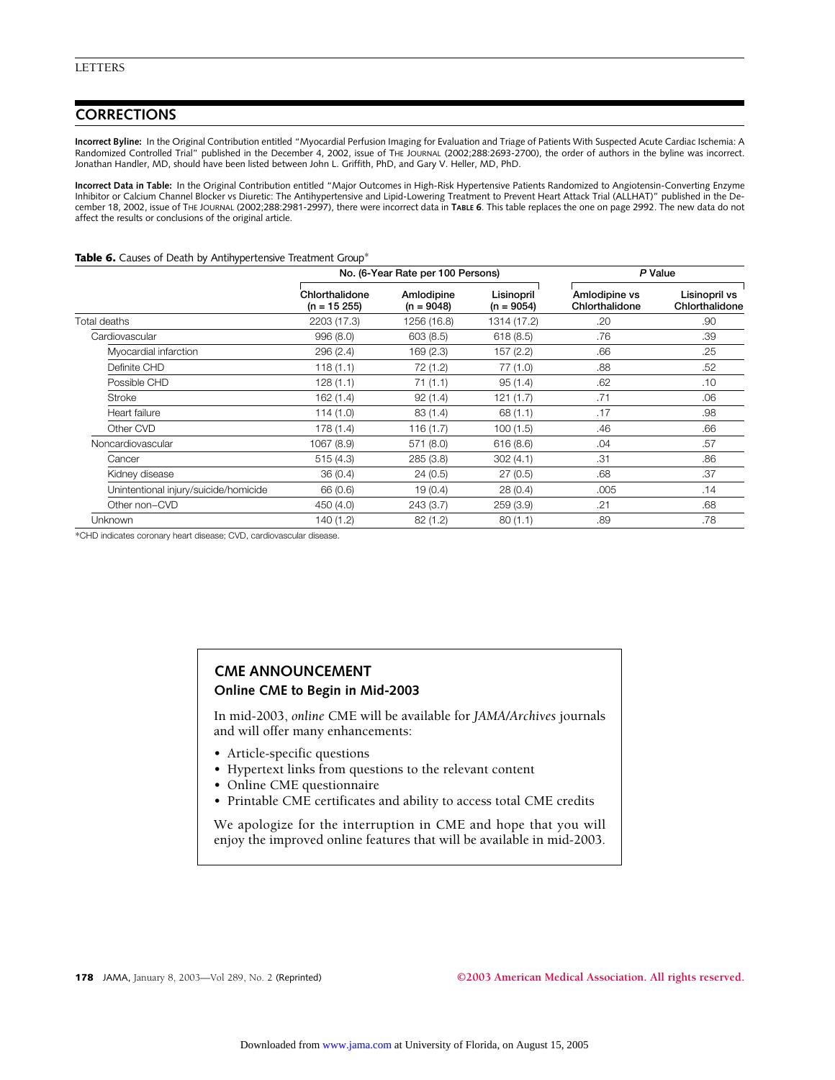## **CORRECTIONS**

**Incorrect Byline:** In the Original Contribution entitled "Myocardial Perfusion Imaging for Evaluation and Triage of Patients With Suspected Acute Cardiac Ischemia: A Randomized Controlled Trial" published in the December 4, 2002, issue of THE JOURNAL (2002;288:2693-2700), the order of authors in the byline was incorrect.<br>Jonathan Handler, MD, should have been listed between John L. Gri

**Incorrect Data in Table:** In the Original Contribution entitled "Major Outcomes in High-Risk Hypertensive Patients Randomized to Angiotensin-Converting Enzyme Inhibitor or Calcium Channel Blocker vs Diuretic: The Antihypertensive and Lipid-Lowering Treatment to Prevent Heart Attack Trial (ALLHAT)" published in the December 18, 2002, issue of THE JOURNAL (2002;288:2981-2997), there were incorrect data in **TABLE 6**. This table replaces the one on page 2992. The new data do not affect the results or conclusions of the original article.

#### Table 6. Causes of Death by Antihypertensive Treatment Group\*

|                                       |                                 | No. (6-Year Rate per 100 Persons) |                            | P Value                         |                                 |  |
|---------------------------------------|---------------------------------|-----------------------------------|----------------------------|---------------------------------|---------------------------------|--|
|                                       | Chlorthalidone<br>$(n = 15255)$ | Amlodipine<br>$(n = 9048)$        | Lisinopril<br>$(n = 9054)$ | Amlodipine vs<br>Chlorthalidone | Lisinopril vs<br>Chlorthalidone |  |
| Total deaths                          | 2203 (17.3)                     | 1256 (16.8)                       | 1314 (17.2)                | .20                             | .90                             |  |
| Cardiovascular                        | 996 (8.0)                       | 603 (8.5)                         | 618(8.5)                   | .76                             | .39                             |  |
| Myocardial infarction                 | 296 (2.4)                       | 169 (2.3)                         | 157 (2.2)                  | .66                             | .25                             |  |
| Definite CHD                          | 118(1.1)                        | 72 (1.2)                          | 77(1.0)                    | .88                             | .52                             |  |
| Possible CHD                          | 128(1.1)                        | 71(1.1)                           | 95(1.4)                    | .62                             | .10                             |  |
| <b>Stroke</b>                         | 162 (1.4)                       | 92(1.4)                           | 121(1.7)                   | .71                             | .06                             |  |
| Heart failure                         | 114(1.0)                        | 83(1.4)                           | 68(1.1)                    | .17                             | .98                             |  |
| Other CVD                             | 178 (1.4)                       | 116 (1.7)                         | 100(1.5)                   | .46                             | .66                             |  |
| Noncardiovascular                     | 1067 (8.9)                      | 571 (8.0)                         | 616(8.6)                   | .04                             | .57                             |  |
| Cancer                                | 515(4.3)                        | 285 (3.8)                         | 302(4.1)                   | .31                             | .86                             |  |
| Kidney disease                        | 36(0.4)                         | 24(0.5)                           | 27(0.5)                    | .68                             | .37                             |  |
| Unintentional injury/suicide/homicide | 66 (0.6)                        | 19(0.4)                           | 28(0.4)                    | .005                            | .14                             |  |
| Other non-CVD                         | 450 (4.0)                       | 243 (3.7)                         | 259(3.9)                   | .21                             | .68                             |  |
| Unknown                               | 140 (1.2)                       | 82(1.2)                           | 80(1.1)                    | .89                             | .78                             |  |

\*CHD indicates coronary heart disease; CVD, cardiovascular disease.

# **CME ANNOUNCEMENT Online CME to Begin in Mid-2003**

In mid-2003, *online* CME will be available for *JAMA/Archives* journals and will offer many enhancements:

- Article-specific questions
- Hypertext links from questions to the relevant content
- Online CME questionnaire
- Printable CME certificates and ability to access total CME credits

We apologize for the interruption in CME and hope that you will enjoy the improved online features that will be available in mid-2003.